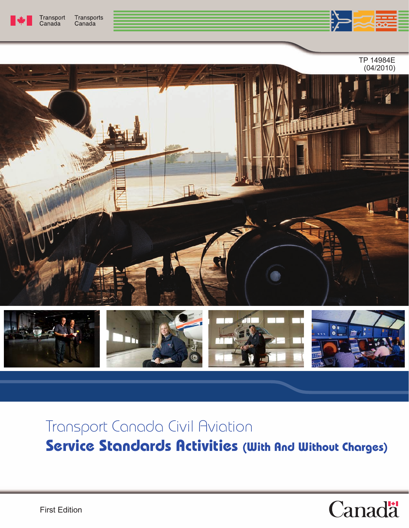





# Transport Canada Civil Aviation **Service Standards Activities (With And Without Charges)**

# Canadä<sup>t</sup>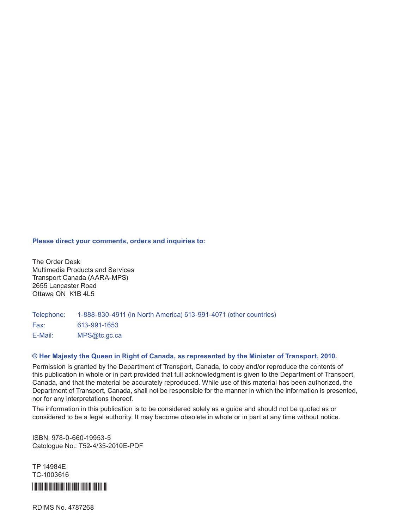#### **Please direct your comments, orders and inquiries to:**

The Order Desk Multimedia Products and Services Transport Canada (AARA-MPS) 2655 Lancaster Road Ottawa ON K1B 4L5

Telephone: 1-888-830-4911 (in North America) 613-991-4071 (other countries) Fax: 613-991-1653 E-Mail: MPS@tc.gc.ca

#### **© Her Majesty the Queen in Right of Canada, as represented by the Minister of Transport, 2010.**

Permission is granted by the Department of Transport, Canada, to copy and/or reproduce the contents of this publication in whole or in part provided that full acknowledgment is given to the Department of Transport, Canada, and that the material be accurately reproduced. While use of this material has been authorized, the Department of Transport, Canada, shall not be responsible for the manner in which the information is presented, nor for any interpretations thereof.

The information in this publication is to be considered solely as a guide and should not be quoted as or considered to be a legal authority. It may become obsolete in whole or in part at any time without notice.

ISBN: 978-0-660-19953-5 Catologue No.: T52-4/35-2010E-PDF

TP 14984E TC-1003616



RDIMS No. 4787268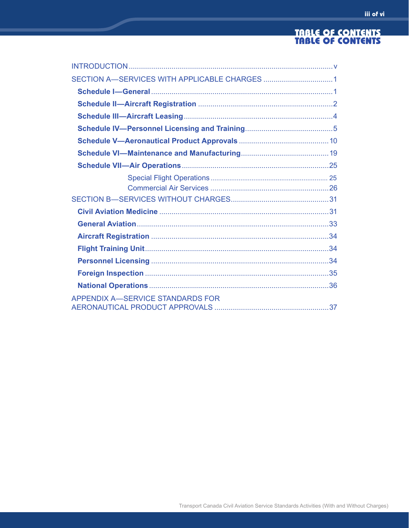#### TABLE OF CONTENTS TABLE OF CONTENTS

| <b>APPENDIX A-SERVICE STANDARDS FOR</b> |  |
|-----------------------------------------|--|
|                                         |  |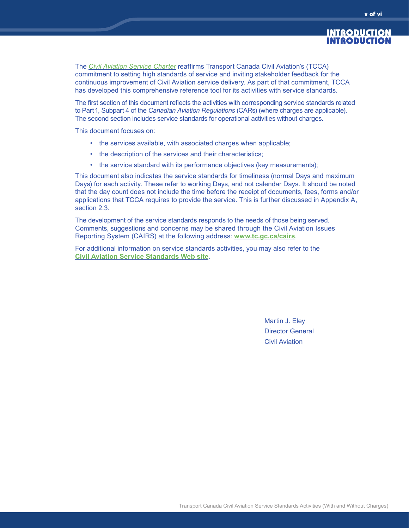#### INTRODUCTION INTRODUCTION

The *[Civil Aviation Service Charter](http://tcinfo/CivilAviation/servicestandards.htm)* reaffirms Transport Canada Civil Aviation's (TCCA) commitment to setting high standards of service and inviting stakeholder feedback for the continuous improvement of Civil Aviation service delivery. As part of that commitment, TCCA has developed this comprehensive reference tool for its activities with service standards.

The first section of this document reflects the activities with corresponding service standards related to Part1, Subpart 4 of the *Canadian Aviation Regulations* (CARs) (where charges are applicable). The second section includes service standards for operational activities without charges.

This document focuses on:

- the services available, with associated charges when applicable;
- the description of the services and their characteristics;
- the service standard with its performance objectives (key measurements);

This document also indicates the service standards for timeliness (normal Days and maximum Days) for each activity. These refer to working Days, and not calendar Days. It should be noted that the day count does not include the time before the receipt of documents, fees, forms and/or applications that TCCA requires to provide the service. This is further discussed in Appendix A, section 2.3.

The development of the service standards responds to the needs of those being served. Comments, suggestions and concerns may be shared through the Civil Aviation Issues Reporting System (CAIRS) at the following address: **<www.tc.gc.ca/cairs>**.

For additional information on service standards activities, you may also refer to the **[Civil Aviation Service Standards Web site](http://www.tc.gc.ca/civilaviation/servicestandards.htm)**.

> Martin J. Eley Director General Civil Aviation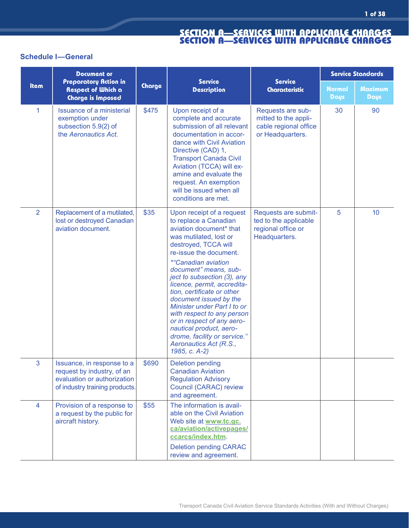# **Schedule I—General**

|                | <b>Document or</b>                                                                                                        |        |                                                                                                                                                                                                                                                                                                                                                                                                                                                                                                                                                 | <b>Service Standards</b>                                                               |                       |                               |
|----------------|---------------------------------------------------------------------------------------------------------------------------|--------|-------------------------------------------------------------------------------------------------------------------------------------------------------------------------------------------------------------------------------------------------------------------------------------------------------------------------------------------------------------------------------------------------------------------------------------------------------------------------------------------------------------------------------------------------|----------------------------------------------------------------------------------------|-----------------------|-------------------------------|
| Item           | <b>Preparatory Action in</b><br>Respect of Which a<br><b>Charge is Imposed</b>                                            | Charge | <b>Service</b><br><b>Description</b>                                                                                                                                                                                                                                                                                                                                                                                                                                                                                                            | <b>Service</b><br><b>Characteristic</b>                                                | <b>Normal</b><br>Days | <b>Maximum</b><br><b>Days</b> |
| 1              | <b>Issuance of a ministerial</b><br>exemption under<br>subsection 5.9(2) of<br>the Aeronautics Act.                       | \$475  | Upon receipt of a<br>complete and accurate<br>submission of all relevant<br>documentation in accor-<br>dance with Civil Aviation<br>Directive (CAD) 1,<br><b>Transport Canada Civil</b><br>Aviation (TCCA) will ex-<br>amine and evaluate the<br>request. An exemption<br>will be issued when all<br>conditions are met.                                                                                                                                                                                                                        | Requests are sub-<br>mitted to the appli-<br>cable regional office<br>or Headquarters. | 30                    | 90                            |
| $\overline{2}$ | Replacement of a mutilated,<br>lost or destroyed Canadian<br>aviation document.                                           | \$35   | Upon receipt of a request<br>to replace a Canadian<br>aviation document* that<br>was mutilated, lost or<br>destroyed, TCCA will<br>re-issue the document.<br><i><b>*</b></i> "Canadian aviation<br>document" means, sub-<br>ject to subsection (3), any<br>licence, permit, accredita-<br>tion, certificate or other<br>document issued by the<br>Minister under Part I to or<br>with respect to any person<br>or in respect of any aero-<br>nautical product, aero-<br>drome, facility or service."<br>Aeronautics Act (R.S.,<br>1985, c. A-2) | Requests are submit-<br>ted to the applicable<br>regional office or<br>Headquarters.   | 5                     | 10 <sup>°</sup>               |
| 3              | Issuance, in response to a<br>request by industry, of an<br>evaluation or authorization<br>of industry training products. | \$690  | <b>Deletion pending</b><br><b>Canadian Aviation</b><br><b>Regulation Advisory</b><br><b>Council (CARAC) review</b><br>and agreement.                                                                                                                                                                                                                                                                                                                                                                                                            |                                                                                        |                       |                               |
| 4              | Provision of a response to<br>a request by the public for<br>aircraft history.                                            | \$55   | The information is avail-<br>able on the Civil Aviation<br>Web site at www.tc.gc.<br>ca/aviation/activepages/<br>ccarcs/index.htm.<br><b>Deletion pending CARAC</b>                                                                                                                                                                                                                                                                                                                                                                             |                                                                                        |                       |                               |
|                |                                                                                                                           |        | review and agreement.                                                                                                                                                                                                                                                                                                                                                                                                                                                                                                                           |                                                                                        |                       |                               |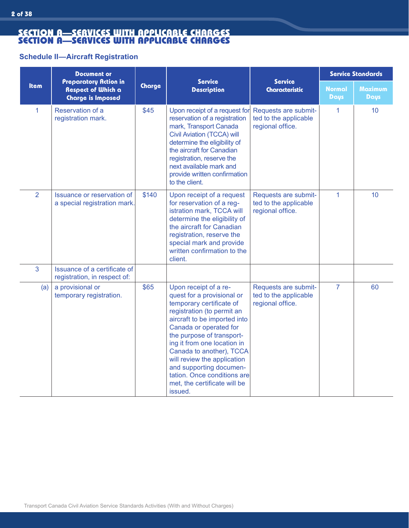#### **Schedule II—Aircraft Registration**

|                | <b>Document or</b>                                                                    |        |                                                                                                                                                                                                                                                                                                                                                                                                     | <b>Service Standards</b>                                          |                              |                 |
|----------------|---------------------------------------------------------------------------------------|--------|-----------------------------------------------------------------------------------------------------------------------------------------------------------------------------------------------------------------------------------------------------------------------------------------------------------------------------------------------------------------------------------------------------|-------------------------------------------------------------------|------------------------------|-----------------|
| <b>Item</b>    | <b>Preparatory Action in</b><br><b>Respect of Which a</b><br><b>Charge is Imposed</b> | Charge | <b>Service</b><br><b>Description</b>                                                                                                                                                                                                                                                                                                                                                                | <b>Service</b><br><b>Characteristic</b>                           | <b>Normal</b><br><b>Days</b> | Maximum<br>Days |
| 1              | Reservation of a<br>registration mark.                                                | \$45   | Upon receipt of a request for<br>reservation of a registration<br>mark, Transport Canada<br><b>Civil Aviation (TCCA) will</b><br>determine the eligibility of<br>the aircraft for Canadian<br>registration, reserve the<br>next available mark and<br>provide written confirmation<br>to the client.                                                                                                | Requests are submit-<br>ted to the applicable<br>regional office. | 1                            | 10              |
| $\overline{2}$ | Issuance or reservation of<br>a special registration mark.                            | \$140  | Upon receipt of a request<br>for reservation of a reg-<br>istration mark, TCCA will<br>determine the eligibility of<br>the aircraft for Canadian<br>registration, reserve the<br>special mark and provide<br>written confirmation to the<br>client.                                                                                                                                                 | Requests are submit-<br>ted to the applicable<br>regional office. | 1                            | 10 <sup>1</sup> |
| 3              | Issuance of a certificate of<br>registration, in respect of:                          |        |                                                                                                                                                                                                                                                                                                                                                                                                     |                                                                   |                              |                 |
| (a)            | a provisional or<br>temporary registration.                                           | \$65   | Upon receipt of a re-<br>quest for a provisional or<br>temporary certificate of<br>registration (to permit an<br>aircraft to be imported into<br>Canada or operated for<br>the purpose of transport-<br>ing it from one location in<br>Canada to another), TCCA<br>will review the application<br>and supporting documen-<br>tation. Once conditions are<br>met, the certificate will be<br>issued. | Requests are submit-<br>ted to the applicable<br>regional office. | $\overline{7}$               | 60              |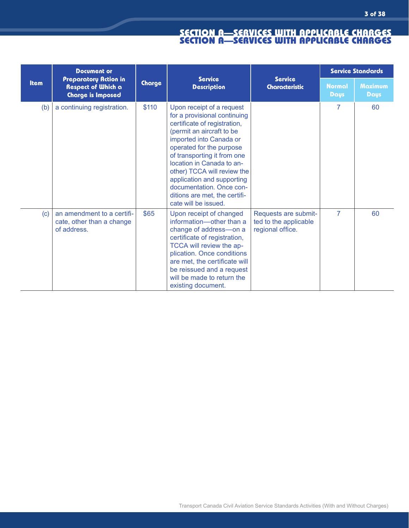|             | <b>Document or</b><br><b>Preparatory Action in</b><br><b>Respect of Which a</b><br><b>Charge is Imposed</b> | <b>Service</b><br>Charge |                                                                                                                                                                                                                                                                                                                                                                                             |                                                                   | <b>Service Standards</b> |                        |  |
|-------------|-------------------------------------------------------------------------------------------------------------|--------------------------|---------------------------------------------------------------------------------------------------------------------------------------------------------------------------------------------------------------------------------------------------------------------------------------------------------------------------------------------------------------------------------------------|-------------------------------------------------------------------|--------------------------|------------------------|--|
| <b>Item</b> |                                                                                                             |                          | <b>Description</b>                                                                                                                                                                                                                                                                                                                                                                          | <b>Service</b><br><b>Characteristic</b>                           | <b>Normal</b><br>Days    | <b>Maximum</b><br>Days |  |
| (b)         | a continuing registration.                                                                                  | \$110                    | Upon receipt of a request<br>for a provisional continuing<br>certificate of registration,<br>(permit an aircraft to be<br>imported into Canada or<br>operated for the purpose<br>of transporting it from one<br>location in Canada to an-<br>other) TCCA will review the<br>application and supporting<br>documentation. Once con-<br>ditions are met, the certifi-<br>cate will be issued. |                                                                   | $\overline{7}$           | 60                     |  |
| (c)         | an amendment to a certifi-<br>cate, other than a change<br>of address.                                      | \$65                     | Upon receipt of changed<br>information-other than a<br>change of address-on a<br>certificate of registration,<br>TCCA will review the ap-<br>plication. Once conditions<br>are met, the certificate will<br>be reissued and a request<br>will be made to return the<br>existing document.                                                                                                   | Requests are submit-<br>ted to the applicable<br>regional office. | $\overline{7}$           | 60                     |  |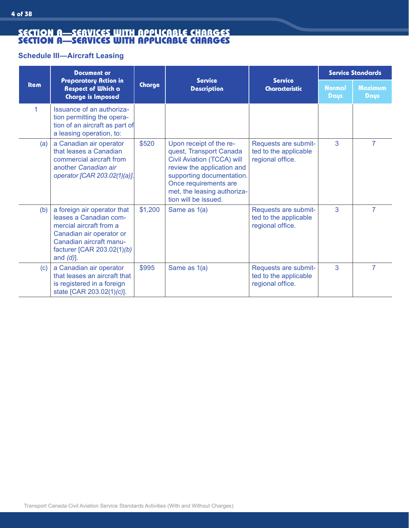# **Schedule III—Aircraft Leasing**

|             | <b>Document or</b>                                                                                                                                                                    |         |                                                                                                                                                                                                                             |                                                                   | <b>Service Standards</b> |                               |  |
|-------------|---------------------------------------------------------------------------------------------------------------------------------------------------------------------------------------|---------|-----------------------------------------------------------------------------------------------------------------------------------------------------------------------------------------------------------------------------|-------------------------------------------------------------------|--------------------------|-------------------------------|--|
| <b>Item</b> | <b>Preparatory Action in</b><br>Respect of Which a<br><b>Charge is Imposed</b>                                                                                                        | Charge  | <b>Service</b><br><b>Description</b>                                                                                                                                                                                        | <b>Service</b><br><b>Characteristic</b>                           | <b>Normal</b><br>Days    | <b>Maximum</b><br><b>Days</b> |  |
| 1           | Issuance of an authoriza-<br>tion permitting the opera-<br>tion of an aircraft as part of<br>a leasing operation, to:                                                                 |         |                                                                                                                                                                                                                             |                                                                   |                          |                               |  |
| (a)         | a Canadian air operator<br>that leases a Canadian<br>commercial aircraft from<br>another Canadian air<br>operator [CAR 203.02(1)(a)].                                                 | \$520   | Upon receipt of the re-<br>quest, Transport Canada<br>Civil Aviation (TCCA) will<br>review the application and<br>supporting documentation.<br>Once requirements are<br>met, the leasing authoriza-<br>tion will be issued. | Requests are submit-<br>ted to the applicable<br>regional office. | 3                        | 7                             |  |
| (b)         | a foreign air operator that<br>leases a Canadian com-<br>mercial aircraft from a<br>Canadian air operator or<br>Canadian aircraft manu-<br>facturer [CAR 203.02(1)(b)<br>and $(d)$ ]. | \$1,200 | Same as 1(a)                                                                                                                                                                                                                | Requests are submit-<br>ted to the applicable<br>regional office. | 3                        | $\overline{7}$                |  |
| (c)         | a Canadian air operator<br>that leases an aircraft that<br>is registered in a foreign<br>state [CAR 203.02(1)(c)].                                                                    | \$995   | Same as 1(a)                                                                                                                                                                                                                | Requests are submit-<br>ted to the applicable<br>regional office. | 3                        | 7                             |  |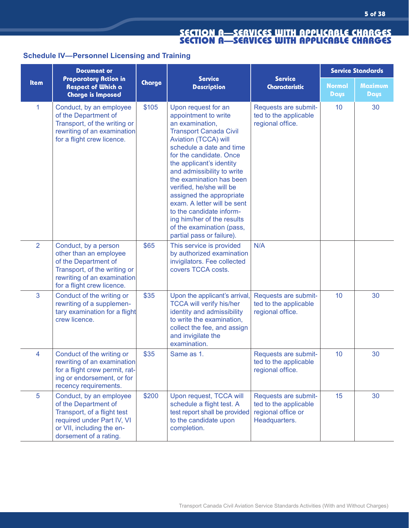# **Schedule IV—Personnel Licensing and Training**

|                | <b>Document or</b>                                                                                                                                                  | <b>Service</b> |                                                                                                                                                                                                                                                                                                                                                                                                                                                                                 | <b>Service Standards</b>                                                             |                       |                               |
|----------------|---------------------------------------------------------------------------------------------------------------------------------------------------------------------|----------------|---------------------------------------------------------------------------------------------------------------------------------------------------------------------------------------------------------------------------------------------------------------------------------------------------------------------------------------------------------------------------------------------------------------------------------------------------------------------------------|--------------------------------------------------------------------------------------|-----------------------|-------------------------------|
| <b>Item</b>    | Preparatory Action in<br><b>Respect of Which a</b><br><b>Charge is Imposed</b>                                                                                      | Charge         | <b>Description</b>                                                                                                                                                                                                                                                                                                                                                                                                                                                              | <b>Service</b><br><b>Characteristic</b>                                              | <b>Normal</b><br>Days | <b>Maximum</b><br><b>Days</b> |
| $\mathbf{1}$   | Conduct, by an employee<br>of the Department of<br>Transport, of the writing or<br>rewriting of an examination<br>for a flight crew licence.                        | \$105          | Upon request for an<br>appointment to write<br>an examination,<br><b>Transport Canada Civil</b><br>Aviation (TCCA) will<br>schedule a date and time<br>for the candidate. Once<br>the applicant's identity<br>and admissibility to write<br>the examination has been<br>verified, he/she will be<br>assigned the appropriate<br>exam. A letter will be sent<br>to the candidate inform-<br>ing him/her of the results<br>of the examination (pass,<br>partial pass or failure). | Requests are submit-<br>ted to the applicable<br>regional office.                    | 10                    | 30                            |
| $\overline{2}$ | Conduct, by a person<br>other than an employee<br>of the Department of<br>Transport, of the writing or<br>rewriting of an examination<br>for a flight crew licence. | \$65           | This service is provided<br>by authorized examination<br>invigilators. Fee collected<br>covers TCCA costs.                                                                                                                                                                                                                                                                                                                                                                      | N/A                                                                                  |                       |                               |
| 3              | Conduct of the writing or<br>rewriting of a supplemen-<br>tary examination for a flight<br>crew licence.                                                            | \$35           | Upon the applicant's arrival,<br><b>TCCA will verify his/her</b><br>identity and admissibility<br>to write the examination,<br>collect the fee, and assign<br>and invigilate the<br>examination.                                                                                                                                                                                                                                                                                | Requests are submit-<br>ted to the applicable<br>regional office.                    | 10                    | 30                            |
| 4              | Conduct of the writing or<br>rewriting of an examination<br>for a flight crew permit, rat-<br>ing or endorsement, or for<br>recency requirements.                   | \$35           | Same as 1.                                                                                                                                                                                                                                                                                                                                                                                                                                                                      | Requests are submit-<br>ted to the applicable<br>regional office.                    | 10                    | 30                            |
| 5              | Conduct, by an employee<br>of the Department of<br>Transport, of a flight test<br>required under Part IV, VI<br>or VII, including the en-<br>dorsement of a rating. | \$200          | Upon request, TCCA will<br>schedule a flight test. A<br>test report shall be provided<br>to the candidate upon<br>completion.                                                                                                                                                                                                                                                                                                                                                   | Requests are submit-<br>ted to the applicable<br>regional office or<br>Headquarters. | 15                    | 30                            |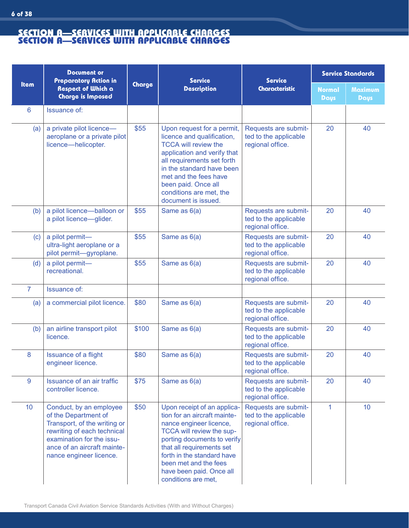**6 of 38**

|             | <b>Document or</b><br><b>Preparatory Action in</b>                                                                                                                                                    | <b>Service</b> | <b>Service</b>                                                                                                                                                                                                                                                                            | <b>Service Standards</b>                                          |                              |                        |
|-------------|-------------------------------------------------------------------------------------------------------------------------------------------------------------------------------------------------------|----------------|-------------------------------------------------------------------------------------------------------------------------------------------------------------------------------------------------------------------------------------------------------------------------------------------|-------------------------------------------------------------------|------------------------------|------------------------|
| <b>Item</b> | <b>Respect of Which a</b><br><b>Charge is Imposed</b>                                                                                                                                                 | Charge         | <b>Description</b>                                                                                                                                                                                                                                                                        | <b>Characteristic</b>                                             | <b>Normal</b><br><b>Days</b> | <b>Maximum</b><br>Days |
| 6           | <b>Issuance of:</b>                                                                                                                                                                                   |                |                                                                                                                                                                                                                                                                                           |                                                                   |                              |                        |
| (a)         | a private pilot licence-<br>aeroplane or a private pilot<br>licence-helicopter.                                                                                                                       | \$55           | Upon request for a permit,<br>licence and qualification,<br><b>TCCA will review the</b><br>application and verify that<br>all requirements set forth<br>in the standard have been<br>met and the fees have<br>been paid. Once all<br>conditions are met, the<br>document is issued.       | Requests are submit-<br>ted to the applicable<br>regional office. | 20                           | 40                     |
| (b)         | a pilot licence-balloon or<br>a pilot licence-glider.                                                                                                                                                 | \$55           | Same as 6(a)                                                                                                                                                                                                                                                                              | Requests are submit-<br>ted to the applicable<br>regional office. | 20                           | 40                     |
| (c)         | a pilot permit-<br>ultra-light aeroplane or a<br>pilot permit-gyroplane.                                                                                                                              | \$55           | Same as 6(a)                                                                                                                                                                                                                                                                              | Requests are submit-<br>ted to the applicable<br>regional office. | 20                           | 40                     |
| (d)         | a pilot permit-<br>recreational.                                                                                                                                                                      | \$55           | Same as 6(a)                                                                                                                                                                                                                                                                              | Requests are submit-<br>ted to the applicable<br>regional office. | 20                           | 40                     |
| 7           | <b>Issuance of:</b>                                                                                                                                                                                   |                |                                                                                                                                                                                                                                                                                           |                                                                   |                              |                        |
| (a)         | a commercial pilot licence.                                                                                                                                                                           | \$80           | Same as 6(a)                                                                                                                                                                                                                                                                              | Requests are submit-<br>ted to the applicable<br>regional office. | 20                           | 40                     |
| (b)         | an airline transport pilot<br>licence.                                                                                                                                                                | \$100          | Same as 6(a)                                                                                                                                                                                                                                                                              | Requests are submit-<br>ted to the applicable<br>regional office. | 20                           | 40                     |
| 8           | <b>Issuance of a flight</b><br>engineer licence.                                                                                                                                                      | \$80           | Same as 6(a)                                                                                                                                                                                                                                                                              | Requests are submit-<br>ted to the applicable<br>regional office. | 20                           | 40                     |
| 9           | Issuance of an air traffic<br>controller licence.                                                                                                                                                     | \$75           | Same as 6(a)                                                                                                                                                                                                                                                                              | Requests are submit-<br>ted to the applicable<br>regional office. | 20                           | 40                     |
| 10          | Conduct, by an employee<br>of the Department of<br>Transport, of the writing or<br>rewriting of each technical<br>examination for the issu-<br>ance of an aircraft mainte-<br>nance engineer licence. | \$50           | Upon receipt of an applica-<br>tion for an aircraft mainte-<br>nance engineer licence,<br>TCCA will review the sup-<br>porting documents to verify<br>that all requirements set<br>forth in the standard have<br>been met and the fees<br>have been paid. Once all<br>conditions are met, | Requests are submit-<br>ted to the applicable<br>regional office. | 1                            | 10 <sup>°</sup>        |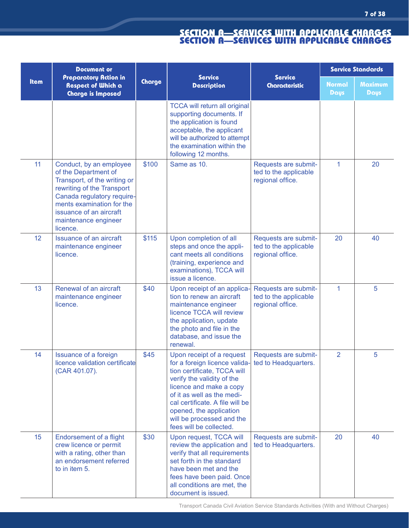|             | <b>Document or</b>                                                                                                                                                                                                                      |        | <b>Service</b>                                                                                                                                                                                                                                                                                                              |                                                                   |                              | <b>Service Standards</b>      |
|-------------|-----------------------------------------------------------------------------------------------------------------------------------------------------------------------------------------------------------------------------------------|--------|-----------------------------------------------------------------------------------------------------------------------------------------------------------------------------------------------------------------------------------------------------------------------------------------------------------------------------|-------------------------------------------------------------------|------------------------------|-------------------------------|
| <b>Item</b> | <b>Preparatory Action in</b><br><b>Respect of Which a</b><br><b>Charge is Imposed</b>                                                                                                                                                   | Charge | <b>Description</b>                                                                                                                                                                                                                                                                                                          | <b>Service</b><br><b>Characteristic</b>                           | <b>Normal</b><br><b>Days</b> | <b>Maximum</b><br><b>Days</b> |
|             |                                                                                                                                                                                                                                         |        | <b>TCCA will return all original</b><br>supporting documents. If<br>the application is found<br>acceptable, the applicant<br>will be authorized to attempt<br>the examination within the<br>following 12 months.                                                                                                            |                                                                   |                              |                               |
| 11          | Conduct, by an employee<br>of the Department of<br>Transport, of the writing or<br>rewriting of the Transport<br>Canada regulatory require-<br>ments examination for the<br>issuance of an aircraft<br>maintenance engineer<br>licence. | \$100  | Same as 10.                                                                                                                                                                                                                                                                                                                 | Requests are submit-<br>ted to the applicable<br>regional office. | $\mathbf{1}$                 | 20                            |
| 12          | <b>Issuance of an aircraft</b><br>maintenance engineer<br>licence.                                                                                                                                                                      | \$115  | Upon completion of all<br>steps and once the appli-<br>cant meets all conditions<br>(training, experience and<br>examinations), TCCA will<br>issue a licence.                                                                                                                                                               | Requests are submit-<br>ted to the applicable<br>regional office. | 20                           | 40                            |
| 13          | Renewal of an aircraft<br>maintenance engineer<br>licence.                                                                                                                                                                              | \$40   | Upon receipt of an applica-<br>tion to renew an aircraft<br>maintenance engineer<br>licence TCCA will review<br>the application, update<br>the photo and file in the<br>database, and issue the<br>renewal.                                                                                                                 | Requests are submit-<br>ted to the applicable<br>regional office. | 1                            | 5                             |
| 14          | <b>Issuance of a foreign</b><br>licence validation certificate<br>(CAR 401.07).                                                                                                                                                         | \$45   | Upon receipt of a request<br>for a foreign licence valida- ted to Headquarters.<br>tion certificate, TCCA will<br>verify the validity of the<br>licence and make a copy<br>of it as well as the medi-<br>cal certificate. A file will be<br>opened, the application<br>will be processed and the<br>fees will be collected. | Requests are submit-                                              | $\overline{2}$               | 5                             |
| 15          | Endorsement of a flight<br>crew licence or permit<br>with a rating, other than<br>an endorsement referred<br>to in item 5.                                                                                                              | \$30   | Upon request, TCCA will<br>review the application and<br>verify that all requirements<br>set forth in the standard<br>have been met and the<br>fees have been paid. Once<br>all conditions are met, the<br>document is issued.                                                                                              | Requests are submit-<br>ted to Headquarters.                      | 20                           | 40                            |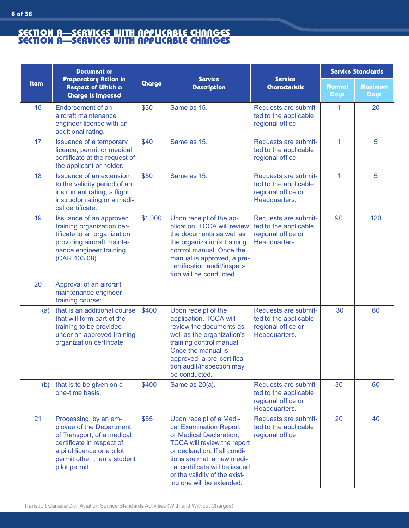|             | <b>Document or</b>                                                                                                                                                                         |         |                                                                                                                                                                                                                                                                                   | <b>Service Standards</b>                                                             |                              |                        |
|-------------|--------------------------------------------------------------------------------------------------------------------------------------------------------------------------------------------|---------|-----------------------------------------------------------------------------------------------------------------------------------------------------------------------------------------------------------------------------------------------------------------------------------|--------------------------------------------------------------------------------------|------------------------------|------------------------|
| <b>Item</b> | Preparatory Action in<br><b>Respect of Which a</b><br><b>Charge is Imposed</b>                                                                                                             | Charge  | <b>Service</b><br><b>Description</b>                                                                                                                                                                                                                                              | <b>Service</b><br><b>Characteristic</b>                                              | <b>Normal</b><br><b>Days</b> | <b>Maximum</b><br>Days |
| 16          | Endorsement of an<br>aircraft maintenance<br>engineer licence with an<br>additional rating.                                                                                                | \$30    | Same as 15.                                                                                                                                                                                                                                                                       | Requests are submit-<br>ted to the applicable<br>regional office.                    | 1                            | 20                     |
| 17          | Issuance of a temporary<br>licence, permit or medical<br>certificate at the request of<br>the applicant or holder.                                                                         | \$40    | Same as 15.                                                                                                                                                                                                                                                                       | Requests are submit-<br>ted to the applicable<br>regional office.                    | $\mathbf{1}$                 | 5                      |
| 18          | <b>Issuance of an extension</b><br>to the validity period of an<br>instrument rating, a flight<br>instructor rating or a medi-<br>cal certificate.                                         | \$50    | Same as 15.                                                                                                                                                                                                                                                                       | Requests are submit-<br>ted to the applicable<br>regional office or<br>Headquarters. | $\mathbf{1}$                 | 5                      |
| 19          | Issuance of an approved<br>training organization cer-<br>tificate to an organization<br>providing aircraft mainte-<br>nance engineer training<br>(CAR 403.08).                             | \$1,000 | Upon receipt of the ap-<br>plication, TCCA will review<br>the documents as well as<br>the organization's training<br>control manual. Once the<br>manual is approved, a pre-<br>certification audit/inspec-<br>tion will be conducted.                                             | Requests are submit-<br>ted to the applicable<br>regional office or<br>Headquarters. | 90                           | 120                    |
| 20          | Approval of an aircraft<br>maintenance engineer<br>training course:                                                                                                                        |         |                                                                                                                                                                                                                                                                                   |                                                                                      |                              |                        |
| (a)         | that is an additional course<br>that will form part of the<br>training to be provided<br>under an approved training<br>organization certificate.                                           | \$400   | Upon receipt of the<br>application, TCCA will<br>review the documents as<br>well as the organization's<br>training control manual.<br>Once the manual is<br>approved, a pre-certifica-<br>tion audit/inspection may<br>be conducted.                                              | Requests are submit-<br>ted to the applicable<br>regional office or<br>Headquarters. | 30                           | 60                     |
| (b)         | that is to be given on a<br>one-time basis.                                                                                                                                                | \$400   | Same as 20(a).                                                                                                                                                                                                                                                                    | Requests are submit-<br>ted to the applicable<br>regional office or<br>Headquarters. | 30                           | 60                     |
| 21          | Processing, by an em-<br>ployee of the Department<br>of Transport, of a medical<br>certificate in respect of<br>a pilot licence or a pilot<br>permit other than a student<br>pilot permit. | \$55    | Upon receipt of a Medi-<br>cal Examination Report<br>or Medical Declaration,<br><b>TCCA will review the report</b><br>or declaration. If all condi-<br>tions are met, a new medi-<br>cal certificate will be issued<br>or the validity of the exist-<br>ing one will be extended. | Requests are submit-<br>ted to the applicable<br>regional office.                    | 20                           | 40                     |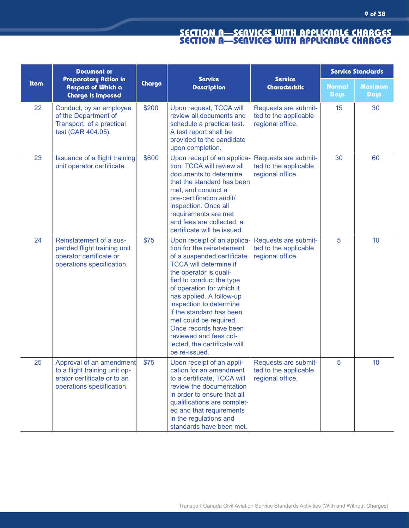|      | <b>Document or</b>                                                                                                    | <b>Service</b><br>Charge<br><b>Description</b> |                                                                                                                                                                                                                                                                                                                                                                                                                                | <b>Service Standards</b>                                          |                       |                               |
|------|-----------------------------------------------------------------------------------------------------------------------|------------------------------------------------|--------------------------------------------------------------------------------------------------------------------------------------------------------------------------------------------------------------------------------------------------------------------------------------------------------------------------------------------------------------------------------------------------------------------------------|-------------------------------------------------------------------|-----------------------|-------------------------------|
| Item | <b>Preparatory Action in</b><br><b>Respect of Which a</b><br><b>Charge is Imposed</b>                                 |                                                |                                                                                                                                                                                                                                                                                                                                                                                                                                | <b>Service</b><br><b>Characteristic</b>                           | <b>Normal</b><br>Days | <b>Maximum</b><br><b>Days</b> |
| 22   | Conduct, by an employee<br>of the Department of<br>Transport, of a practical<br>test (CAR 404.05).                    | \$200                                          | Upon request, TCCA will<br>review all documents and<br>schedule a practical test.<br>A test report shall be<br>provided to the candidate<br>upon completion.                                                                                                                                                                                                                                                                   | Requests are submit-<br>ted to the applicable<br>regional office. | 15                    | 30                            |
| 23   | Issuance of a flight training<br>unit operator certificate.                                                           | \$600                                          | Upon receipt of an applica-<br>tion, TCCA will review all<br>documents to determine<br>that the standard has been<br>met, and conduct a<br>pre-certification audit/<br>inspection. Once all<br>requirements are met<br>and fees are collected, a<br>certificate will be issued.                                                                                                                                                | Requests are submit-<br>ted to the applicable<br>regional office. | 30                    | 60                            |
| 24   | Reinstatement of a sus-<br>pended flight training unit<br>operator certificate or<br>operations specification.        | \$75                                           | Upon receipt of an applica-<br>tion for the reinstatement<br>of a suspended certificate,<br><b>TCCA will determine if</b><br>the operator is quali-<br>fied to conduct the type<br>of operation for which it<br>has applied. A follow-up<br>inspection to determine<br>if the standard has been<br>met could be required.<br>Once records have been<br>reviewed and fees col-<br>lected, the certificate will<br>be re-issued. | Requests are submit-<br>ted to the applicable<br>regional office. | 5                     | 10 <sup>°</sup>               |
| 25   | Approval of an amendment<br>to a flight training unit op-<br>erator certificate or to an<br>operations specification. | \$75                                           | Upon receipt of an appli-<br>cation for an amendment<br>to a certificate, TCCA will<br>review the documentation<br>in order to ensure that all<br>qualifications are complet-<br>ed and that requirements<br>in the regulations and<br>standards have been met.                                                                                                                                                                | Requests are submit-<br>ted to the applicable<br>regional office. | 5                     | 10                            |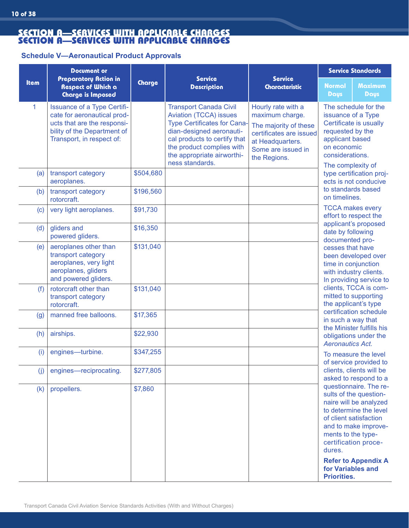#### **Schedule V—Aeronautical Product Approvals**

|             | <b>Document or</b>                                                                                                                                           |           |                                                                                                                                                                                                                                         |                                                                                                                                                     | <b>Service Standards</b>                                                                                                                                                                                                                                                         |
|-------------|--------------------------------------------------------------------------------------------------------------------------------------------------------------|-----------|-----------------------------------------------------------------------------------------------------------------------------------------------------------------------------------------------------------------------------------------|-----------------------------------------------------------------------------------------------------------------------------------------------------|----------------------------------------------------------------------------------------------------------------------------------------------------------------------------------------------------------------------------------------------------------------------------------|
| <b>Item</b> | <b>Preparatory Action in</b><br>Respect of Which a<br><b>Charge is Imposed</b>                                                                               | Charge    | <b>Service</b><br><b>Description</b>                                                                                                                                                                                                    | <b>Service</b><br><b>Characteristic</b>                                                                                                             | <b>Maximum</b><br><b>Normal</b><br>Days<br><b>Days</b>                                                                                                                                                                                                                           |
| 1           | <b>Issuance of a Type Certifi-</b><br>cate for aeronautical prod-<br>ucts that are the responsi-<br>bility of the Department of<br>Transport, in respect of: |           | <b>Transport Canada Civil</b><br>Aviation (TCCA) issues<br><b>Type Certificates for Cana-</b><br>dian-designed aeronauti-<br>cal products to certify that<br>the product complies with<br>the appropriate airworthi-<br>ness standards. | Hourly rate with a<br>maximum charge.<br>The majority of these<br>certificates are issued<br>at Headquarters.<br>Some are issued in<br>the Regions. | The schedule for the<br>issuance of a Type<br>Certificate is usually<br>requested by the<br>applicant based<br>on economic<br>considerations.<br>The complexity of                                                                                                               |
| (a)         | transport category<br>aeroplanes.                                                                                                                            | \$504,680 |                                                                                                                                                                                                                                         |                                                                                                                                                     | type certification proj-<br>ects is not conducive                                                                                                                                                                                                                                |
| (b)         | transport category<br>rotorcraft.                                                                                                                            | \$196,560 |                                                                                                                                                                                                                                         |                                                                                                                                                     | to standards based<br>on timelines.                                                                                                                                                                                                                                              |
| (c)         | very light aeroplanes.                                                                                                                                       | \$91,730  |                                                                                                                                                                                                                                         |                                                                                                                                                     | <b>TCCA makes every</b><br>effort to respect the                                                                                                                                                                                                                                 |
| (d)         | gliders and<br>powered gliders.                                                                                                                              | \$16,350  |                                                                                                                                                                                                                                         |                                                                                                                                                     | applicant's proposed<br>date by following<br>documented pro-                                                                                                                                                                                                                     |
| (e)         | aeroplanes other than<br>transport category<br>aeroplanes, very light<br>aeroplanes, gliders<br>and powered gliders.                                         | \$131,040 |                                                                                                                                                                                                                                         |                                                                                                                                                     | cesses that have<br>been developed over<br>time in conjunction<br>with industry clients.<br>In providing service to                                                                                                                                                              |
| (f)         | rotorcraft other than<br>transport category<br>rotorcraft.                                                                                                   | \$131,040 |                                                                                                                                                                                                                                         |                                                                                                                                                     | clients, TCCA is com-<br>mitted to supporting<br>the applicant's type                                                                                                                                                                                                            |
| (g)         | manned free balloons.                                                                                                                                        | \$17,365  |                                                                                                                                                                                                                                         |                                                                                                                                                     | certification schedule<br>in such a way that                                                                                                                                                                                                                                     |
| (h)         | airships.                                                                                                                                                    | \$22,930  |                                                                                                                                                                                                                                         |                                                                                                                                                     | the Minister fulfills his<br>obligations under the<br><b>Aeronautics Act.</b>                                                                                                                                                                                                    |
| (i)         | engines-turbine.                                                                                                                                             | \$347,255 |                                                                                                                                                                                                                                         |                                                                                                                                                     | To measure the level<br>of service provided to                                                                                                                                                                                                                                   |
| (i)         | engines-reciprocating.                                                                                                                                       | \$277,805 |                                                                                                                                                                                                                                         |                                                                                                                                                     | clients, clients will be<br>asked to respond to a                                                                                                                                                                                                                                |
| (k)         | propellers.                                                                                                                                                  | \$7,860   |                                                                                                                                                                                                                                         |                                                                                                                                                     | questionnaire. The re-<br>sults of the question-<br>naire will be analyzed<br>to determine the level<br>of client satisfaction<br>and to make improve-<br>ments to the type-<br>certification proce-<br>dures.<br><b>Refer to Appendix A</b><br>for Variables and<br>Priorities. |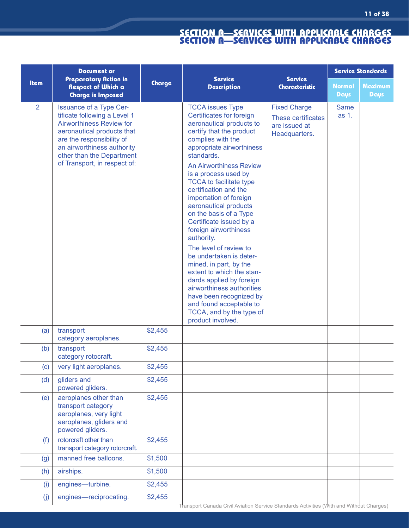|                | <b>Document or</b>                                                                                                                                                                                                                                      |         |                                                                                                                                                                                                                                                                                                                                                                                                                                                                                                                                                                                                                                                                                                                             |                                                                             |                              | <b>Service Standards</b>      |
|----------------|---------------------------------------------------------------------------------------------------------------------------------------------------------------------------------------------------------------------------------------------------------|---------|-----------------------------------------------------------------------------------------------------------------------------------------------------------------------------------------------------------------------------------------------------------------------------------------------------------------------------------------------------------------------------------------------------------------------------------------------------------------------------------------------------------------------------------------------------------------------------------------------------------------------------------------------------------------------------------------------------------------------------|-----------------------------------------------------------------------------|------------------------------|-------------------------------|
| <b>Item</b>    | <b>Preparatory Action in</b><br><b>Respect of Which a</b><br><b>Charge is Imposed</b>                                                                                                                                                                   | Charge  | <b>Service</b><br><b>Description</b>                                                                                                                                                                                                                                                                                                                                                                                                                                                                                                                                                                                                                                                                                        | <b>Service</b><br><b>Characteristic</b>                                     | <b>Normal</b><br><b>Days</b> | <b>Maximum</b><br><b>Days</b> |
| $\overline{2}$ | <b>Issuance of a Type Cer-</b><br>tificate following a Level 1<br><b>Airworthiness Review for</b><br>aeronautical products that<br>are the responsibility of<br>an airworthiness authority<br>other than the Department<br>of Transport, in respect of: |         | <b>TCCA</b> issues Type<br>Certificates for foreign<br>aeronautical products to<br>certify that the product<br>complies with the<br>appropriate airworthiness<br>standards.<br><b>An Airworthiness Review</b><br>is a process used by<br><b>TCCA</b> to facilitate type<br>certification and the<br>importation of foreign<br>aeronautical products<br>on the basis of a Type<br>Certificate issued by a<br>foreign airworthiness<br>authority.<br>The level of review to<br>be undertaken is deter-<br>mined, in part, by the<br>extent to which the stan-<br>dards applied by foreign<br>airworthiness authorities<br>have been recognized by<br>and found acceptable to<br>TCCA, and by the type of<br>product involved. | <b>Fixed Charge</b><br>These certificates<br>are issued at<br>Headquarters. | <b>Same</b><br>as 1.         |                               |
| (a)            | transport<br>category aeroplanes.                                                                                                                                                                                                                       | \$2,455 |                                                                                                                                                                                                                                                                                                                                                                                                                                                                                                                                                                                                                                                                                                                             |                                                                             |                              |                               |
| (b)            | transport<br>category rotocraft.                                                                                                                                                                                                                        | \$2,455 |                                                                                                                                                                                                                                                                                                                                                                                                                                                                                                                                                                                                                                                                                                                             |                                                                             |                              |                               |
| (c)            | very light aeroplanes.                                                                                                                                                                                                                                  | \$2,455 |                                                                                                                                                                                                                                                                                                                                                                                                                                                                                                                                                                                                                                                                                                                             |                                                                             |                              |                               |
| (d)            | gliders and<br>powered gliders.                                                                                                                                                                                                                         | \$2,455 |                                                                                                                                                                                                                                                                                                                                                                                                                                                                                                                                                                                                                                                                                                                             |                                                                             |                              |                               |
| (e)            | aeroplanes other than<br>transport category<br>aeroplanes, very light<br>aeroplanes, gliders and<br>powered gliders.                                                                                                                                    | \$2,455 |                                                                                                                                                                                                                                                                                                                                                                                                                                                                                                                                                                                                                                                                                                                             |                                                                             |                              |                               |
| (f)            | rotorcraft other than<br>transport category rotorcraft.                                                                                                                                                                                                 | \$2,455 |                                                                                                                                                                                                                                                                                                                                                                                                                                                                                                                                                                                                                                                                                                                             |                                                                             |                              |                               |
| (g)            | manned free balloons.                                                                                                                                                                                                                                   | \$1,500 |                                                                                                                                                                                                                                                                                                                                                                                                                                                                                                                                                                                                                                                                                                                             |                                                                             |                              |                               |
| (h)            | airships.                                                                                                                                                                                                                                               | \$1,500 |                                                                                                                                                                                                                                                                                                                                                                                                                                                                                                                                                                                                                                                                                                                             |                                                                             |                              |                               |
| (i)            | engines-turbine.                                                                                                                                                                                                                                        | \$2,455 |                                                                                                                                                                                                                                                                                                                                                                                                                                                                                                                                                                                                                                                                                                                             |                                                                             |                              |                               |
| (j)            | engines-reciprocating.                                                                                                                                                                                                                                  | \$2,455 |                                                                                                                                                                                                                                                                                                                                                                                                                                                                                                                                                                                                                                                                                                                             |                                                                             |                              |                               |

Transport Canada Civil Aviation Service Standards Activities (With and Without Charges)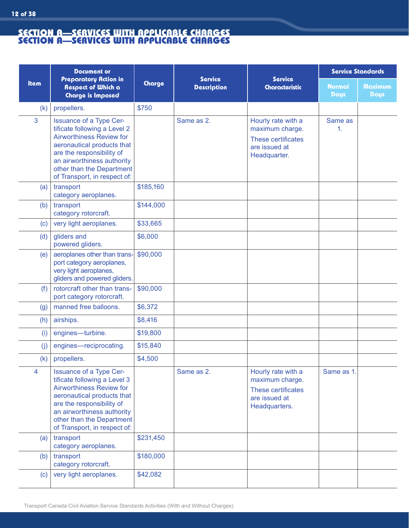**12 of 38**

|             | <b>Document or</b>                                                                                                                                                                                                                               |           |                                      |                                                                                               | <b>Service Standards</b>     |                        |
|-------------|--------------------------------------------------------------------------------------------------------------------------------------------------------------------------------------------------------------------------------------------------|-----------|--------------------------------------|-----------------------------------------------------------------------------------------------|------------------------------|------------------------|
| <b>Item</b> | <b>Preparatory Action in</b><br>Respect of Which a<br><b>Charge is Imposed</b>                                                                                                                                                                   | Charge    | <b>Service</b><br><b>Description</b> | <b>Service</b><br><b>Characteristic</b>                                                       | <b>Normal</b><br><b>Days</b> | <b>Maximum</b><br>Days |
| (k)         | propellers.                                                                                                                                                                                                                                      | \$750     |                                      |                                                                                               |                              |                        |
| 3           | Issuance of a Type Cer-<br>tificate following a Level 2<br><b>Airworthiness Review for</b><br>aeronautical products that<br>are the responsibility of<br>an airworthiness authority<br>other than the Department<br>of Transport, in respect of: |           | Same as 2.                           | Hourly rate with a<br>maximum charge.<br>These certificates<br>are issued at<br>Headquarter.  | Same as<br>1.                |                        |
| (a)         | transport<br>category aeroplanes.                                                                                                                                                                                                                | \$185,160 |                                      |                                                                                               |                              |                        |
| (b)         | transport<br>category rotorcraft.                                                                                                                                                                                                                | \$144,000 |                                      |                                                                                               |                              |                        |
| (c)         | very light aeroplanes.                                                                                                                                                                                                                           | \$33,665  |                                      |                                                                                               |                              |                        |
| (d)         | gliders and<br>powered gliders.                                                                                                                                                                                                                  | \$6,000   |                                      |                                                                                               |                              |                        |
| (e)         | aeroplanes other than trans-<br>port category aeroplanes,<br>very light aeroplanes,<br>gliders and powered gliders.                                                                                                                              | \$90,000  |                                      |                                                                                               |                              |                        |
| (f)         | rotorcraft other than trans-<br>port category rotorcraft.                                                                                                                                                                                        | \$90,000  |                                      |                                                                                               |                              |                        |
| (g)         | manned free balloons.                                                                                                                                                                                                                            | \$6,372   |                                      |                                                                                               |                              |                        |
| (h)         | airships.                                                                                                                                                                                                                                        | \$8,416   |                                      |                                                                                               |                              |                        |
| (i)         | engines-turbine.                                                                                                                                                                                                                                 | \$19,800  |                                      |                                                                                               |                              |                        |
| (j)         | engines-reciprocating.                                                                                                                                                                                                                           | \$15,840  |                                      |                                                                                               |                              |                        |
| (k)         | propellers.                                                                                                                                                                                                                                      | \$4,500   |                                      |                                                                                               |                              |                        |
| 4           | Issuance of a Type Cer-<br>tificate following a Level 3<br><b>Airworthiness Review for</b><br>aeronautical products that<br>are the responsibility of<br>an airworthiness authority<br>other than the Department<br>of Transport, in respect of: |           | Same as 2.                           | Hourly rate with a<br>maximum charge.<br>These certificates<br>are issued at<br>Headquarters. | Same as 1.                   |                        |
| (a)         | transport<br>category aeroplanes.                                                                                                                                                                                                                | \$231,450 |                                      |                                                                                               |                              |                        |
| (b)         | transport<br>category rotorcraft.                                                                                                                                                                                                                | \$180,000 |                                      |                                                                                               |                              |                        |
| (c)         | very light aeroplanes.                                                                                                                                                                                                                           | \$42,082  |                                      |                                                                                               |                              |                        |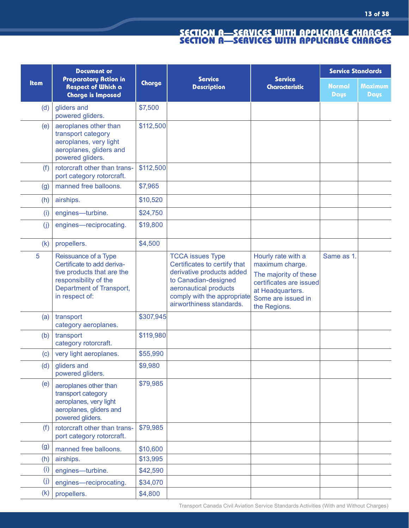|                   | <b>Document or</b>                                                                                                                                      |           |                                                                                                                                                                                                  |                                                                                                                                                     | <b>Service Standards</b>     |                               |
|-------------------|---------------------------------------------------------------------------------------------------------------------------------------------------------|-----------|--------------------------------------------------------------------------------------------------------------------------------------------------------------------------------------------------|-----------------------------------------------------------------------------------------------------------------------------------------------------|------------------------------|-------------------------------|
| <b>Item</b>       | <b>Preparatory Action in</b><br><b>Respect of Which a</b><br><b>Charge is Imposed</b>                                                                   | Charge    | <b>Service</b><br><b>Description</b>                                                                                                                                                             | <b>Service</b><br>Characteristic                                                                                                                    | <b>Normal</b><br><b>Days</b> | <b>Maximum</b><br><b>Days</b> |
| (d)               | gliders and<br>powered gliders.                                                                                                                         | \$7,500   |                                                                                                                                                                                                  |                                                                                                                                                     |                              |                               |
| (e)               | aeroplanes other than<br>transport category<br>aeroplanes, very light<br>aeroplanes, gliders and<br>powered gliders.                                    | \$112,500 |                                                                                                                                                                                                  |                                                                                                                                                     |                              |                               |
| (f)               | rotorcraft other than trans-<br>port category rotorcraft.                                                                                               | \$112,500 |                                                                                                                                                                                                  |                                                                                                                                                     |                              |                               |
| (g)               | manned free balloons.                                                                                                                                   | \$7,965   |                                                                                                                                                                                                  |                                                                                                                                                     |                              |                               |
| (h)               | airships.                                                                                                                                               | \$10,520  |                                                                                                                                                                                                  |                                                                                                                                                     |                              |                               |
| (i)               | engines-turbine.                                                                                                                                        | \$24,750  |                                                                                                                                                                                                  |                                                                                                                                                     |                              |                               |
| (i)               | engines-reciprocating.                                                                                                                                  | \$19,800  |                                                                                                                                                                                                  |                                                                                                                                                     |                              |                               |
| (k)               | propellers.                                                                                                                                             | \$4,500   |                                                                                                                                                                                                  |                                                                                                                                                     |                              |                               |
| 5                 | Reissuance of a Type<br>Certificate to add deriva-<br>tive products that are the<br>responsibility of the<br>Department of Transport,<br>in respect of: |           | <b>TCCA</b> issues Type<br>Certificates to certify that<br>derivative products added<br>to Canadian-designed<br>aeronautical products<br>comply with the appropriate<br>airworthiness standards. | Hourly rate with a<br>maximum charge.<br>The majority of these<br>certificates are issued<br>at Headquarters.<br>Some are issued in<br>the Regions. | Same as 1.                   |                               |
| (a)               | transport<br>category aeroplanes.                                                                                                                       | \$307,945 |                                                                                                                                                                                                  |                                                                                                                                                     |                              |                               |
| (b)               | transport<br>category rotorcraft.                                                                                                                       | \$119,980 |                                                                                                                                                                                                  |                                                                                                                                                     |                              |                               |
| (c)               | very light aeroplanes.                                                                                                                                  | \$55,990  |                                                                                                                                                                                                  |                                                                                                                                                     |                              |                               |
| (d)               | gliders and<br>powered gliders.                                                                                                                         | \$9,980   |                                                                                                                                                                                                  |                                                                                                                                                     |                              |                               |
| (e)               | aeroplanes other than<br>transport category<br>aeroplanes, very light<br>aeroplanes, gliders and<br>powered gliders.                                    | \$79,985  |                                                                                                                                                                                                  |                                                                                                                                                     |                              |                               |
| (f)               | rotorcraft other than trans-<br>port category rotorcraft.                                                                                               | \$79,985  |                                                                                                                                                                                                  |                                                                                                                                                     |                              |                               |
| $\left( 9\right)$ | manned free balloons.                                                                                                                                   | \$10,600  |                                                                                                                                                                                                  |                                                                                                                                                     |                              |                               |
| (h)               | airships.                                                                                                                                               | \$13,995  |                                                                                                                                                                                                  |                                                                                                                                                     |                              |                               |
| (i)               | engines-turbine.                                                                                                                                        | \$42,590  |                                                                                                                                                                                                  |                                                                                                                                                     |                              |                               |
| (j)               | engines-reciprocating.                                                                                                                                  | \$34,070  |                                                                                                                                                                                                  |                                                                                                                                                     |                              |                               |
| (k)               | propellers.                                                                                                                                             | \$4,800   |                                                                                                                                                                                                  |                                                                                                                                                     |                              |                               |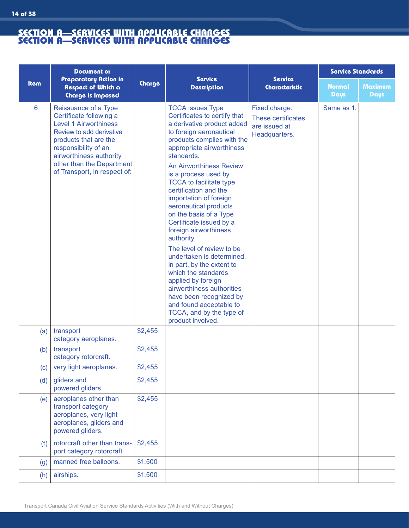**14 of 38**

|             | <b>Document or</b>                                                                                                                                                                                                                                   |         |                                                                                                                                                                                                                                                                                                                                                                                                                                                                                                                                                                                                                                                                                                                                       | <b>Service</b>                                                        | <b>Service Standards</b>     |                               |
|-------------|------------------------------------------------------------------------------------------------------------------------------------------------------------------------------------------------------------------------------------------------------|---------|---------------------------------------------------------------------------------------------------------------------------------------------------------------------------------------------------------------------------------------------------------------------------------------------------------------------------------------------------------------------------------------------------------------------------------------------------------------------------------------------------------------------------------------------------------------------------------------------------------------------------------------------------------------------------------------------------------------------------------------|-----------------------------------------------------------------------|------------------------------|-------------------------------|
| <b>Item</b> | <b>Preparatory Action in</b><br><b>Respect of Which a</b><br><b>Charge is Imposed</b>                                                                                                                                                                | Charge  | <b>Service</b><br><b>Description</b>                                                                                                                                                                                                                                                                                                                                                                                                                                                                                                                                                                                                                                                                                                  | <b>Characteristic</b>                                                 | <b>Normal</b><br><b>Days</b> | <b>Maximum</b><br><b>Days</b> |
| 6           | Reissuance of a Type<br>Certificate following a<br><b>Level 1 Airworthiness</b><br>Review to add derivative<br>products that are the<br>responsibility of an<br>airworthiness authority<br>other than the Department<br>of Transport, in respect of: |         | <b>TCCA</b> issues Type<br>Certificates to certify that<br>a derivative product added<br>to foreign aeronautical<br>products complies with the<br>appropriate airworthiness<br>standards.<br><b>An Airworthiness Review</b><br>is a process used by<br><b>TCCA</b> to facilitate type<br>certification and the<br>importation of foreign<br>aeronautical products<br>on the basis of a Type<br>Certificate issued by a<br>foreign airworthiness<br>authority.<br>The level of review to be<br>undertaken is determined,<br>in part, by the extent to<br>which the standards<br>applied by foreign<br>airworthiness authorities<br>have been recognized by<br>and found acceptable to<br>TCCA, and by the type of<br>product involved. | Fixed charge.<br>These certificates<br>are issued at<br>Headquarters. | Same as 1.                   |                               |
| (a)         | transport<br>category aeroplanes.                                                                                                                                                                                                                    | \$2,455 |                                                                                                                                                                                                                                                                                                                                                                                                                                                                                                                                                                                                                                                                                                                                       |                                                                       |                              |                               |
| (b)         | transport<br>category rotorcraft.                                                                                                                                                                                                                    | \$2,455 |                                                                                                                                                                                                                                                                                                                                                                                                                                                                                                                                                                                                                                                                                                                                       |                                                                       |                              |                               |
| (c)         | very light aeroplanes.                                                                                                                                                                                                                               | \$2,455 |                                                                                                                                                                                                                                                                                                                                                                                                                                                                                                                                                                                                                                                                                                                                       |                                                                       |                              |                               |
| (d)         | gliders and<br>powered gliders.                                                                                                                                                                                                                      | \$2,455 |                                                                                                                                                                                                                                                                                                                                                                                                                                                                                                                                                                                                                                                                                                                                       |                                                                       |                              |                               |
| (e)         | aeroplanes other than<br>transport category<br>aeroplanes, very light<br>aeroplanes, gliders and<br>powered gliders.                                                                                                                                 | \$2,455 |                                                                                                                                                                                                                                                                                                                                                                                                                                                                                                                                                                                                                                                                                                                                       |                                                                       |                              |                               |
| (f)         | rotorcraft other than trans-<br>port category rotorcraft.                                                                                                                                                                                            | \$2,455 |                                                                                                                                                                                                                                                                                                                                                                                                                                                                                                                                                                                                                                                                                                                                       |                                                                       |                              |                               |
| (g)         | manned free balloons.                                                                                                                                                                                                                                | \$1,500 |                                                                                                                                                                                                                                                                                                                                                                                                                                                                                                                                                                                                                                                                                                                                       |                                                                       |                              |                               |
| (h)         | airships.                                                                                                                                                                                                                                            | \$1,500 |                                                                                                                                                                                                                                                                                                                                                                                                                                                                                                                                                                                                                                                                                                                                       |                                                                       |                              |                               |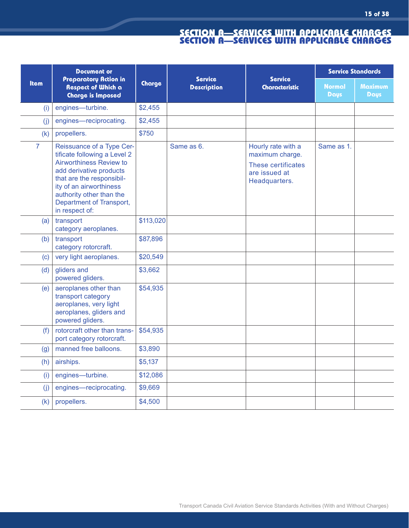|                | <b>Document or</b><br><b>Preparatory Action in</b><br>Respect of Which a<br><b>Charge is Imposed</b>                                                                                                                                              | <b>Service</b><br>Charge<br><b>Description</b> | <b>Service</b> | <b>Service Standards</b>                                                                      |                       |                        |
|----------------|---------------------------------------------------------------------------------------------------------------------------------------------------------------------------------------------------------------------------------------------------|------------------------------------------------|----------------|-----------------------------------------------------------------------------------------------|-----------------------|------------------------|
| <b>Item</b>    |                                                                                                                                                                                                                                                   |                                                |                | <b>Characteristic</b>                                                                         | Normal<br><b>Days</b> | <b>Maximum</b><br>Days |
| (i)            | engines-turbine.                                                                                                                                                                                                                                  | \$2,455                                        |                |                                                                                               |                       |                        |
| (i)            | engines-reciprocating.                                                                                                                                                                                                                            | \$2,455                                        |                |                                                                                               |                       |                        |
| (k)            | propellers.                                                                                                                                                                                                                                       | \$750                                          |                |                                                                                               |                       |                        |
| $\overline{7}$ | Reissuance of a Type Cer-<br>tificate following a Level 2<br>Airworthiness Review to<br>add derivative products<br>that are the responsibil-<br>ity of an airworthiness<br>authority other than the<br>Department of Transport,<br>in respect of: |                                                | Same as 6.     | Hourly rate with a<br>maximum charge.<br>These certificates<br>are issued at<br>Headquarters. | Same as 1.            |                        |
| (a)            | transport<br>category aeroplanes.                                                                                                                                                                                                                 | \$113,020                                      |                |                                                                                               |                       |                        |
| (b)            | transport<br>category rotorcraft.                                                                                                                                                                                                                 | \$87,896                                       |                |                                                                                               |                       |                        |
| (c)            | very light aeroplanes.                                                                                                                                                                                                                            | \$20,549                                       |                |                                                                                               |                       |                        |
| (d)            | gliders and<br>powered gliders.                                                                                                                                                                                                                   | \$3,662                                        |                |                                                                                               |                       |                        |
| (e)            | aeroplanes other than<br>transport category<br>aeroplanes, very light<br>aeroplanes, gliders and<br>powered gliders.                                                                                                                              | \$54,935                                       |                |                                                                                               |                       |                        |
| (f)            | rotorcraft other than trans-<br>port category rotorcraft.                                                                                                                                                                                         | \$54,935                                       |                |                                                                                               |                       |                        |
| (g)            | manned free balloons.                                                                                                                                                                                                                             | \$3,890                                        |                |                                                                                               |                       |                        |
| (h)            | airships.                                                                                                                                                                                                                                         | \$5,137                                        |                |                                                                                               |                       |                        |
| (i)            | engines-turbine.                                                                                                                                                                                                                                  | \$12,086                                       |                |                                                                                               |                       |                        |
| (j)            | engines-reciprocating.                                                                                                                                                                                                                            | \$9,669                                        |                |                                                                                               |                       |                        |
| (k)            | propellers.                                                                                                                                                                                                                                       | \$4,500                                        |                |                                                                                               |                       |                        |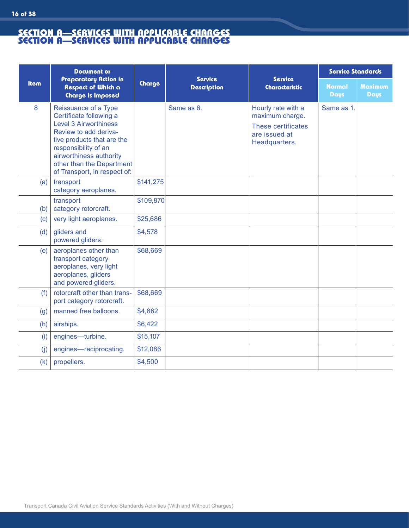**16 of 38**

|             | <b>Document or</b>                                                                                                                                                                                                                                     |           |                                      | <b>Service</b><br><b>Characteristic</b>                                                       | Service Standards            |                               |
|-------------|--------------------------------------------------------------------------------------------------------------------------------------------------------------------------------------------------------------------------------------------------------|-----------|--------------------------------------|-----------------------------------------------------------------------------------------------|------------------------------|-------------------------------|
| <b>Item</b> | <b>Preparatory Action in</b><br><b>Respect of Which a</b><br><b>Charge is Imposed</b>                                                                                                                                                                  | Charge    | <b>Service</b><br><b>Description</b> |                                                                                               | <b>Normal</b><br><b>Days</b> | <b>Maximum</b><br><b>Days</b> |
| 8           | Reissuance of a Type<br>Certificate following a<br><b>Level 3 Airworthiness</b><br>Review to add deriva-<br>tive products that are the<br>responsibility of an<br>airworthiness authority<br>other than the Department<br>of Transport, in respect of: |           | Same as 6.                           | Hourly rate with a<br>maximum charge.<br>These certificates<br>are issued at<br>Headquarters. | Same as 1.                   |                               |
| (a)         | transport<br>category aeroplanes.                                                                                                                                                                                                                      | \$141,275 |                                      |                                                                                               |                              |                               |
| (b)         | transport<br>category rotorcraft.                                                                                                                                                                                                                      | \$109,870 |                                      |                                                                                               |                              |                               |
| (c)         | very light aeroplanes.                                                                                                                                                                                                                                 | \$25,686  |                                      |                                                                                               |                              |                               |
| (d)         | gliders and<br>powered gliders.                                                                                                                                                                                                                        | \$4,578   |                                      |                                                                                               |                              |                               |
| (e)         | aeroplanes other than<br>transport category<br>aeroplanes, very light<br>aeroplanes, gliders<br>and powered gliders.                                                                                                                                   | \$68,669  |                                      |                                                                                               |                              |                               |
| (f)         | rotorcraft other than trans-<br>port category rotorcraft.                                                                                                                                                                                              | \$68,669  |                                      |                                                                                               |                              |                               |
| (g)         | manned free balloons.                                                                                                                                                                                                                                  | \$4,862   |                                      |                                                                                               |                              |                               |
| (h)         | airships.                                                                                                                                                                                                                                              | \$6,422   |                                      |                                                                                               |                              |                               |
| (i)         | engines-turbine.                                                                                                                                                                                                                                       | \$15,107  |                                      |                                                                                               |                              |                               |
| (j)         | engines-reciprocating.                                                                                                                                                                                                                                 | \$12,086  |                                      |                                                                                               |                              |                               |
| (k)         | propellers.                                                                                                                                                                                                                                            | \$4,500   |                                      |                                                                                               |                              |                               |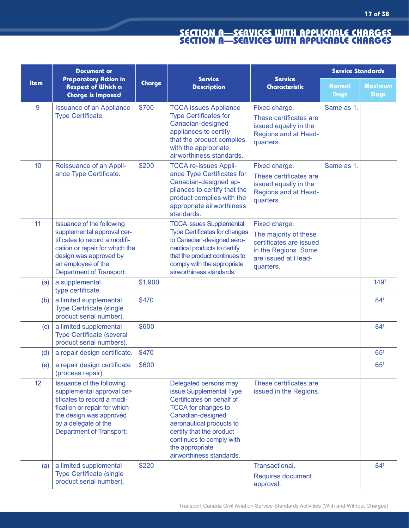|                   | <b>Document or</b>                                                                                                                                                                                                   |         |                                                                                                                                                                                                                                                                     |                                                                                                                               | <b>Service Standards</b>     |                               |
|-------------------|----------------------------------------------------------------------------------------------------------------------------------------------------------------------------------------------------------------------|---------|---------------------------------------------------------------------------------------------------------------------------------------------------------------------------------------------------------------------------------------------------------------------|-------------------------------------------------------------------------------------------------------------------------------|------------------------------|-------------------------------|
| <b>Item</b>       | <b>Preparatory Action in</b><br><b>Respect of Which a</b><br><b>Charge is Imposed</b>                                                                                                                                | Charge  | <b>Service</b><br><b>Description</b>                                                                                                                                                                                                                                | <b>Service</b><br><b>Characteristic</b>                                                                                       | <b>Normal</b><br><b>Days</b> | <b>Maximum</b><br><b>Days</b> |
| 9                 | <b>Issuance of an Appliance</b><br><b>Type Certificate.</b>                                                                                                                                                          | \$700   | <b>TCCA issues Appliance</b><br><b>Type Certificates for</b><br>Canadian-designed<br>appliances to certify<br>that the product complies<br>with the appropriate<br>airworthiness standards.                                                                         | Fixed charge.<br>These certificates are<br>issued equally in the<br><b>Regions and at Head-</b><br>quarters.                  | Same as 1.                   |                               |
| 10                | Reissuance of an Appli-<br>ance Type Certificate.                                                                                                                                                                    | \$200   | <b>TCCA re-issues Appli-</b><br>ance Type Certificates for<br>Canadian-designed ap-<br>pliances to certify that the<br>product complies with the<br>appropriate airworthiness<br>standards.                                                                         | Fixed charge.<br>These certificates are<br>issued equally in the<br>Regions and at Head-<br>quarters.                         | Same as 1.                   |                               |
| 11                | <b>Issuance of the following</b><br>supplemental approval cer-<br>tificates to record a modifi-<br>cation or repair for which the<br>design was approved by<br>an employee of the<br><b>Department of Transport:</b> |         | <b>TCCA issues Supplemental</b><br><b>Type Certificates for changes</b><br>to Canadian-designed aero-<br>nautical products to certify<br>that the product continues to<br>comply with the appropriate<br>airworthiness standards.                                   | Fixed charge.<br>The majority of these<br>certificates are issued<br>in the Regions. Some<br>are issued at Head-<br>quarters. |                              |                               |
| (a)               | a supplemental<br>type certificate.                                                                                                                                                                                  | \$1,900 |                                                                                                                                                                                                                                                                     |                                                                                                                               |                              | 149 <sup>1</sup>              |
| (b)               | a limited supplemental<br><b>Type Certificate (single</b><br>product serial number).                                                                                                                                 | \$470   |                                                                                                                                                                                                                                                                     |                                                                                                                               |                              | 841                           |
| $\left( c\right)$ | a limited supplemental<br><b>Type Certificate (several</b><br>product serial numbers).                                                                                                                               | \$600   |                                                                                                                                                                                                                                                                     |                                                                                                                               |                              | 841                           |
| (d)               | a repair design certificate.                                                                                                                                                                                         | \$470   |                                                                                                                                                                                                                                                                     |                                                                                                                               |                              | $65^{\circ}$                  |
| (e)               | a repair design certificate<br>(process repair).                                                                                                                                                                     | \$600   |                                                                                                                                                                                                                                                                     |                                                                                                                               |                              | 65 <sup>1</sup>               |
| 12                | <b>Issuance of the following</b><br>supplemental approval cer-<br>tificates to record a modi-<br>fication or repair for which<br>the design was approved<br>by a delegate of the<br><b>Department of Transport:</b>  |         | Delegated persons may<br>issue Supplemental Type<br>Certificates on behalf of<br><b>TCCA</b> for changes to<br>Canadian-designed<br>aeronautical products to<br>certify that the product<br>continues to comply with<br>the appropriate<br>airworthiness standards. | These certificates are<br>issued in the Regions.                                                                              |                              |                               |
| (a)               | a limited supplemental<br><b>Type Certificate (single</b><br>product serial number).                                                                                                                                 | \$220   |                                                                                                                                                                                                                                                                     | Transactional.<br>Requires document<br>approval.                                                                              |                              | 841                           |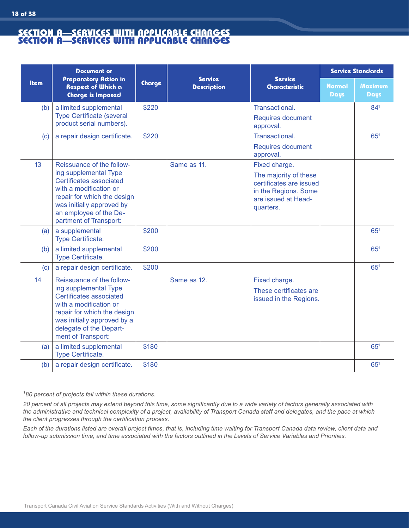**18 of 38**

|             | <b>Document or</b><br>Preparatory Action in<br><b>Respect of Which a</b><br><b>Charge is Imposed</b>                                                                                                                    |        | <b>Service</b><br><b>Description</b> |                                                                                                                               | <b>Service Standards</b>     |                        |
|-------------|-------------------------------------------------------------------------------------------------------------------------------------------------------------------------------------------------------------------------|--------|--------------------------------------|-------------------------------------------------------------------------------------------------------------------------------|------------------------------|------------------------|
| <b>Item</b> |                                                                                                                                                                                                                         | Charge |                                      | <b>Service</b><br><b>Characteristic</b>                                                                                       | <b>Normal</b><br><b>Days</b> | <b>Maximum</b><br>Days |
| (b)         | a limited supplemental<br><b>Type Certificate (several</b><br>product serial numbers).                                                                                                                                  | \$220  |                                      | Transactional.<br><b>Requires document</b><br>approval.                                                                       |                              | 841                    |
| (c)         | a repair design certificate.                                                                                                                                                                                            | \$220  |                                      | Transactional.<br><b>Requires document</b><br>approval.                                                                       |                              | 65 <sup>1</sup>        |
| 13          | Reissuance of the follow-<br>ing supplemental Type<br>Certificates associated<br>with a modification or<br>repair for which the design<br>was initially approved by<br>an employee of the De-<br>partment of Transport: |        | Same as 11.                          | Fixed charge.<br>The majority of these<br>certificates are issued<br>in the Regions. Some<br>are issued at Head-<br>quarters. |                              |                        |
| (a)         | a supplemental<br>Type Certificate.                                                                                                                                                                                     | \$200  |                                      |                                                                                                                               |                              | $65^{1}$               |
| (b)         | a limited supplemental<br><b>Type Certificate.</b>                                                                                                                                                                      | \$200  |                                      |                                                                                                                               |                              | $65^{1}$               |
| (c)         | a repair design certificate.                                                                                                                                                                                            | \$200  |                                      |                                                                                                                               |                              | 65 <sup>1</sup>        |
| 14          | Reissuance of the follow-<br>ing supplemental Type<br>Certificates associated<br>with a modification or<br>repair for which the design<br>was initially approved by a<br>delegate of the Depart-<br>ment of Transport:  |        | Same as 12.                          | Fixed charge.<br>These certificates are<br>issued in the Regions.                                                             |                              |                        |
| (a)         | a limited supplemental<br>Type Certificate.                                                                                                                                                                             | \$180  |                                      |                                                                                                                               |                              | 65 <sup>1</sup>        |
| (b)         | a repair design certificate.                                                                                                                                                                                            | \$180  |                                      |                                                                                                                               |                              | 65 <sup>1</sup>        |

*1 80 percent of projects fall within these durations.*

*20 percent of all projects may extend beyond this time, some significantly due to a wide variety of factors generally associated with the administrative and technical complexity of a project, availability of Transport Canada staff and delegates, and the pace at which the client progresses through the certification process.* 

*Each of the durations listed are overall project times, that is, including time waiting for Transport Canada data review, client data and follow-up submission time, and time associated with the factors outlined in the Levels of Service Variables and Priorities.*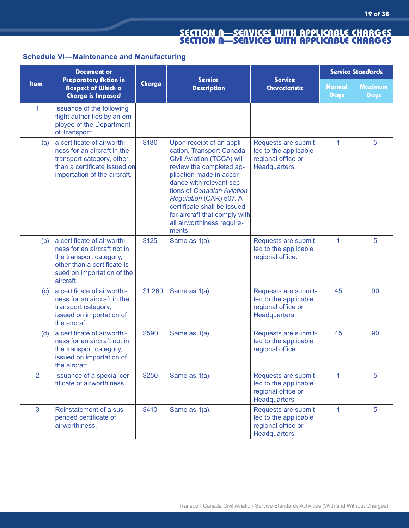# **Schedule VI—Maintenance and Manufacturing**

|                | <b>Document or</b>                                                                                                                                               | <b>Service</b> |                                                                                                                                                                                                                                                                                                                                          | <b>Service</b><br><b>Characteristic</b>                                              | <b>Service Standards</b>     |                               |
|----------------|------------------------------------------------------------------------------------------------------------------------------------------------------------------|----------------|------------------------------------------------------------------------------------------------------------------------------------------------------------------------------------------------------------------------------------------------------------------------------------------------------------------------------------------|--------------------------------------------------------------------------------------|------------------------------|-------------------------------|
| <b>Item</b>    | <b>Preparatory Action in</b><br><b>Respect of Which a</b><br><b>Charge is Imposed</b>                                                                            | Charge         | <b>Description</b>                                                                                                                                                                                                                                                                                                                       |                                                                                      | <b>Normal</b><br><b>Days</b> | <b>Maximum</b><br><b>Days</b> |
| 1              | Issuance of the following<br>flight authorities by an em-<br>ployee of the Department<br>of Transport:                                                           |                |                                                                                                                                                                                                                                                                                                                                          |                                                                                      |                              |                               |
| (a)            | a certificate of airworthi-<br>ness for an aircraft in the<br>transport category, other<br>than a certificate issued on<br>importation of the aircraft.          | \$180          | Upon receipt of an appli-<br>cation, Transport Canada<br>Civil Aviation (TCCA) will<br>review the completed ap-<br>plication made in accor-<br>dance with relevant sec-<br>tions of Canadian Aviation<br>Regulation (CAR) 507. A<br>certificate shall be issued<br>for aircraft that comply with<br>all airworthiness require-<br>ments. | Requests are submit-<br>ted to the applicable<br>regional office or<br>Headquarters. | 1                            | 5                             |
| (b)            | a certificate of airworthi-<br>ness for an aircraft not in<br>the transport category,<br>other than a certificate is-<br>sued on importation of the<br>aircraft. | \$125          | Same as 1(a).                                                                                                                                                                                                                                                                                                                            | Requests are submit-<br>ted to the applicable<br>regional office.                    | 1                            | 5                             |
| (c)            | a certificate of airworthi-<br>ness for an aircraft in the<br>transport category,<br>issued on importation of<br>the aircraft.                                   | \$1,260        | Same as 1(a).                                                                                                                                                                                                                                                                                                                            | Requests are submit-<br>ted to the applicable<br>regional office or<br>Headquarters. | 45                           | 90                            |
| (d)            | a certificate of airworthi-<br>ness for an aircraft not in<br>the transport category,<br>issued on importation of<br>the aircraft.                               | \$590          | Same as 1(a).                                                                                                                                                                                                                                                                                                                            | Requests are submit-<br>ted to the applicable<br>regional office.                    | 45                           | 90                            |
| $\overline{2}$ | Issuance of a special cer-<br>tificate of airworthiness.                                                                                                         | \$250          | Same as 1(a).                                                                                                                                                                                                                                                                                                                            | Requests are submit-<br>ted to the applicable<br>regional office or<br>Headquarters. | $\mathbf{1}$                 | $5\phantom{.0}$               |
| 3              | Reinstatement of a sus-<br>pended certificate of<br>airworthiness.                                                                                               | \$410          | Same as 1(a).                                                                                                                                                                                                                                                                                                                            | Requests are submit-<br>ted to the applicable<br>regional office or<br>Headquarters. | $\mathbf{1}$                 | $5\phantom{.0}$               |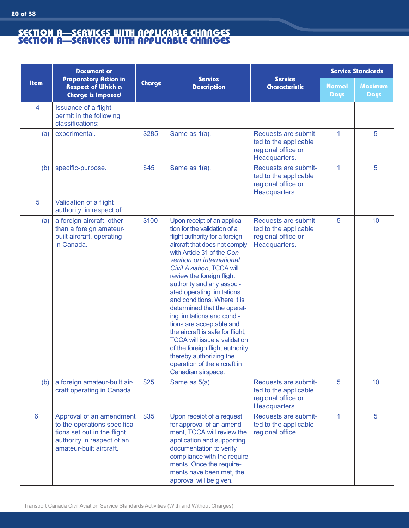|                 | <b>Document or</b>                                                                                                                               | <b>Service</b> |                                                                                                                                                                                                                                                                                                                                                                                                                                                                                                                                                                                                                                        | <b>Service Standards</b>                                                             |                              |                        |
|-----------------|--------------------------------------------------------------------------------------------------------------------------------------------------|----------------|----------------------------------------------------------------------------------------------------------------------------------------------------------------------------------------------------------------------------------------------------------------------------------------------------------------------------------------------------------------------------------------------------------------------------------------------------------------------------------------------------------------------------------------------------------------------------------------------------------------------------------------|--------------------------------------------------------------------------------------|------------------------------|------------------------|
| <b>Item</b>     | Preparatory Action in<br>Respect of Which a<br><b>Charge is Imposed</b>                                                                          | Charge         | <b>Description</b>                                                                                                                                                                                                                                                                                                                                                                                                                                                                                                                                                                                                                     | <b>Service</b><br><b>Characteristic</b>                                              | <b>Normal</b><br><b>Days</b> | <b>Maximum</b><br>Days |
| 4               | <b>Issuance of a flight</b><br>permit in the following<br>classifications:                                                                       |                |                                                                                                                                                                                                                                                                                                                                                                                                                                                                                                                                                                                                                                        |                                                                                      |                              |                        |
| (a)             | experimental.                                                                                                                                    | \$285          | Same as 1(a).                                                                                                                                                                                                                                                                                                                                                                                                                                                                                                                                                                                                                          | Requests are submit-<br>ted to the applicable<br>regional office or<br>Headquarters. | $\mathbf{1}$                 | 5                      |
| (b)             | specific-purpose.                                                                                                                                | \$45           | Same as 1(a).                                                                                                                                                                                                                                                                                                                                                                                                                                                                                                                                                                                                                          | Requests are submit-<br>ted to the applicable<br>regional office or<br>Headquarters. | 1                            | 5                      |
| 5               | Validation of a flight<br>authority, in respect of:                                                                                              |                |                                                                                                                                                                                                                                                                                                                                                                                                                                                                                                                                                                                                                                        |                                                                                      |                              |                        |
| (a)             | a foreign aircraft, other<br>than a foreign amateur-<br>built aircraft, operating<br>in Canada.                                                  | \$100          | Upon receipt of an applica-<br>tion for the validation of a<br>flight authority for a foreign<br>aircraft that does not comply<br>with Article 31 of the Con-<br>vention on International<br>Civil Aviation, TCCA will<br>review the foreign flight<br>authority and any associ-<br>ated operating limitations<br>and conditions. Where it is<br>determined that the operat-<br>ing limitations and condi-<br>tions are acceptable and<br>the aircraft is safe for flight,<br><b>TCCA will issue a validation</b><br>of the foreign flight authority,<br>thereby authorizing the<br>operation of the aircraft in<br>Canadian airspace. | Requests are submit-<br>ted to the applicable<br>regional office or<br>Headquarters. | 5                            | 10                     |
| (b)             | a foreign amateur-built air-<br>craft operating in Canada.                                                                                       | \$25           | Same as 5(a).                                                                                                                                                                                                                                                                                                                                                                                                                                                                                                                                                                                                                          | Requests are submit-<br>ted to the applicable<br>regional office or<br>Headquarters. | 5                            | 10                     |
| $6\phantom{1}6$ | Approval of an amendment<br>to the operations specifica-<br>tions set out in the flight<br>authority in respect of an<br>amateur-built aircraft. | \$35           | Upon receipt of a request<br>for approval of an amend-<br>ment, TCCA will review the<br>application and supporting<br>documentation to verify<br>compliance with the require-<br>ments. Once the require-<br>ments have been met, the<br>approval will be given.                                                                                                                                                                                                                                                                                                                                                                       | Requests are submit-<br>ted to the applicable<br>regional office.                    | $\mathbf{1}$                 | $5\phantom{.0}$        |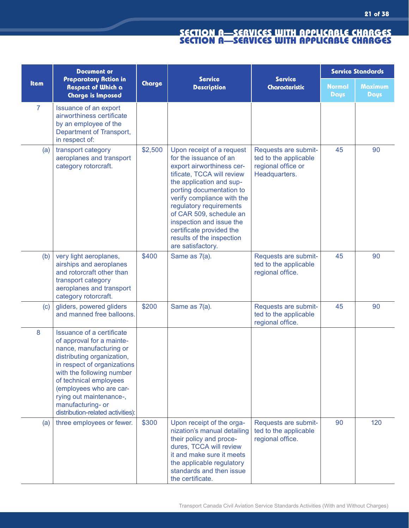|                | <b>Document or</b><br><b>Preparatory Action in</b><br>Respect of Which a<br><b>Charge is Imposed</b>                                                                                                                                                                                                                  | <b>Service</b><br>Charge |                                                                                                                                                                                                                                                                                                                                                                      | <b>Service</b><br><b>Characteristic</b>                                              | <b>Service Standards</b> |                        |
|----------------|-----------------------------------------------------------------------------------------------------------------------------------------------------------------------------------------------------------------------------------------------------------------------------------------------------------------------|--------------------------|----------------------------------------------------------------------------------------------------------------------------------------------------------------------------------------------------------------------------------------------------------------------------------------------------------------------------------------------------------------------|--------------------------------------------------------------------------------------|--------------------------|------------------------|
| Item           |                                                                                                                                                                                                                                                                                                                       |                          | <b>Description</b>                                                                                                                                                                                                                                                                                                                                                   |                                                                                      | <b>Normal</b><br>Days    | <b>Maximum</b><br>Days |
| $\overline{7}$ | Issuance of an export<br>airworthiness certificate<br>by an employee of the<br>Department of Transport,<br>in respect of:                                                                                                                                                                                             |                          |                                                                                                                                                                                                                                                                                                                                                                      |                                                                                      |                          |                        |
| (a)            | transport category<br>aeroplanes and transport<br>category rotorcraft.                                                                                                                                                                                                                                                | \$2,500                  | Upon receipt of a request<br>for the issuance of an<br>export airworthiness cer-<br>tificate, TCCA will review<br>the application and sup-<br>porting documentation to<br>verify compliance with the<br>regulatory requirements<br>of CAR 509, schedule an<br>inspection and issue the<br>certificate provided the<br>results of the inspection<br>are satisfactory. | Requests are submit-<br>ted to the applicable<br>regional office or<br>Headquarters. | 45                       | 90                     |
| (b)            | very light aeroplanes,<br>airships and aeroplanes<br>and rotorcraft other than<br>transport category<br>aeroplanes and transport<br>category rotorcraft.                                                                                                                                                              | \$400                    | Same as 7(a).                                                                                                                                                                                                                                                                                                                                                        | Requests are submit-<br>ted to the applicable<br>regional office.                    | 45                       | 90                     |
| (c)            | gliders, powered gliders<br>and manned free balloons.                                                                                                                                                                                                                                                                 | \$200                    | Same as 7(a).                                                                                                                                                                                                                                                                                                                                                        | Requests are submit-<br>ted to the applicable<br>regional office.                    | 45                       | 90                     |
| 8              | Issuance of a certificate<br>of approval for a mainte-<br>nance, manufacturing or<br>distributing organization,<br>in respect of organizations<br>with the following number<br>of technical employees<br>(employees who are car-<br>rying out maintenance-,<br>manufacturing- or<br>distribution-related activities): |                          |                                                                                                                                                                                                                                                                                                                                                                      |                                                                                      |                          |                        |
| (a)            | three employees or fewer.                                                                                                                                                                                                                                                                                             | \$300                    | Upon receipt of the orga-<br>nization's manual detailing<br>their policy and proce-<br>dures, TCCA will review<br>it and make sure it meets<br>the applicable regulatory<br>standards and then issue<br>the certificate.                                                                                                                                             | Requests are submit-<br>ted to the applicable<br>regional office.                    | 90                       | 120                    |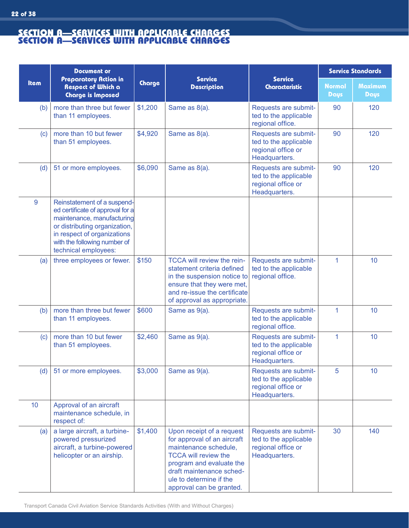|             | <b>Document or</b><br><b>Preparatory Action in</b><br><b>Respect of Which a</b><br><b>Charge is Imposed</b>                                                                                                           | <b>Service</b><br>Charge<br><b>Description</b> |                                                                                                                                                                                                                                 | <b>Service Standards</b>                                                                   |                              |                 |
|-------------|-----------------------------------------------------------------------------------------------------------------------------------------------------------------------------------------------------------------------|------------------------------------------------|---------------------------------------------------------------------------------------------------------------------------------------------------------------------------------------------------------------------------------|--------------------------------------------------------------------------------------------|------------------------------|-----------------|
| <b>Item</b> |                                                                                                                                                                                                                       |                                                |                                                                                                                                                                                                                                 | <b>Service</b><br><b>Characteristic</b>                                                    | <b>Normal</b><br><b>Days</b> | Maximum<br>Days |
| (b)         | more than three but fewer<br>than 11 employees.                                                                                                                                                                       | \$1,200                                        | Same as 8(a).                                                                                                                                                                                                                   | Requests are submit-<br>ted to the applicable<br>regional office.                          | 90                           | 120             |
| (c)         | more than 10 but fewer<br>than 51 employees.                                                                                                                                                                          | \$4,920                                        | Same as 8(a).                                                                                                                                                                                                                   | Requests are submit-<br>ted to the applicable<br>regional office or<br>Headquarters.       | 90                           | 120             |
| (d)         | 51 or more employees.                                                                                                                                                                                                 | \$6,090                                        | Same as 8(a).                                                                                                                                                                                                                   | Requests are submit-<br>ted to the applicable<br>regional office or<br>Headquarters.       | 90                           | 120             |
| 9           | Reinstatement of a suspend-<br>ed certificate of approval for a<br>maintenance, manufacturing<br>or distributing organization,<br>in respect of organizations<br>with the following number of<br>technical employees: |                                                |                                                                                                                                                                                                                                 |                                                                                            |                              |                 |
| (a)         | three employees or fewer.                                                                                                                                                                                             | \$150                                          | TCCA will review the rein-<br>statement criteria defined<br>in the suspension notice to<br>ensure that they were met,<br>and re-issue the certificate<br>of approval as appropriate.                                            | Requests are submit-<br>ted to the applicable<br>regional office.                          | 1                            | 10              |
| (b)         | more than three but fewer<br>than 11 employees.                                                                                                                                                                       | \$600                                          | Same as 9(a).                                                                                                                                                                                                                   | Requests are submit-<br>ted to the applicable<br>regional office.                          | $\overline{1}$               | 10              |
| (c)         | more than 10 but fewer<br>than 51 employees.                                                                                                                                                                          | \$2,460                                        | Same as 9(a).                                                                                                                                                                                                                   | Requests are submit-<br>ted to the applicable<br>regional office or<br><b>Headquarters</b> | $\mathbf 1$                  | 10              |
| (d)         | 51 or more employees.                                                                                                                                                                                                 | \$3,000                                        | Same as 9(a).                                                                                                                                                                                                                   | Requests are submit-<br>ted to the applicable<br>regional office or<br>Headquarters.       | 5                            | 10              |
| 10          | Approval of an aircraft<br>maintenance schedule, in<br>respect of:                                                                                                                                                    |                                                |                                                                                                                                                                                                                                 |                                                                                            |                              |                 |
| (a)         | a large aircraft, a turbine-<br>powered pressurized<br>aircraft, a turbine-powered<br>helicopter or an airship.                                                                                                       | \$1,400                                        | Upon receipt of a request<br>for approval of an aircraft<br>maintenance schedule,<br><b>TCCA will review the</b><br>program and evaluate the<br>draft maintenance sched-<br>ule to determine if the<br>approval can be granted. | Requests are submit-<br>ted to the applicable<br>regional office or<br>Headquarters.       | 30                           | 140             |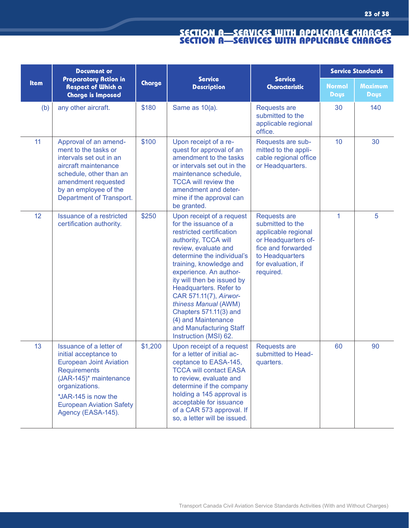|      | <b>Document or</b>                                                                                                                                                                                                                    |         |                                                                                                                                                                                                                                                                                                                                                                                                                                  | <b>Service Standards</b>                                                                                                                                          |                              |                        |
|------|---------------------------------------------------------------------------------------------------------------------------------------------------------------------------------------------------------------------------------------|---------|----------------------------------------------------------------------------------------------------------------------------------------------------------------------------------------------------------------------------------------------------------------------------------------------------------------------------------------------------------------------------------------------------------------------------------|-------------------------------------------------------------------------------------------------------------------------------------------------------------------|------------------------------|------------------------|
| Item | <b>Preparatory Action in</b><br><b>Respect of Which a</b><br><b>Charge is Imposed</b>                                                                                                                                                 | Charge  | <b>Service</b><br><b>Description</b>                                                                                                                                                                                                                                                                                                                                                                                             | <b>Service</b><br><b>Characteristic</b>                                                                                                                           | <b>Normal</b><br><b>Days</b> | <b>Maximum</b><br>Days |
| (b)  | any other aircraft.                                                                                                                                                                                                                   | \$180   | Same as 10(a).                                                                                                                                                                                                                                                                                                                                                                                                                   | <b>Requests are</b><br>submitted to the<br>applicable regional<br>office.                                                                                         | 30                           | 140                    |
| 11   | Approval of an amend-<br>ment to the tasks or<br>intervals set out in an<br>aircraft maintenance<br>schedule, other than an<br>amendment requested<br>by an employee of the<br>Department of Transport.                               | \$100   | Upon receipt of a re-<br>quest for approval of an<br>amendment to the tasks<br>or intervals set out in the<br>maintenance schedule,<br><b>TCCA will review the</b><br>amendment and deter-<br>mine if the approval can<br>be granted.                                                                                                                                                                                            | Requests are sub-<br>mitted to the appli-<br>cable regional office<br>or Headquarters.                                                                            | 10                           | 30                     |
| 12   | <b>Issuance of a restricted</b><br>certification authority.                                                                                                                                                                           | \$250   | Upon receipt of a request<br>for the issuance of a<br>restricted certification<br>authority, TCCA will<br>review, evaluate and<br>determine the individual's<br>training, knowledge and<br>experience. An author-<br>ity will then be issued by<br>Headquarters. Refer to<br>CAR 571.11(7), Airwor-<br>thiness Manual (AWM)<br>Chapters 571.11(3) and<br>(4) and Maintenance<br>and Manufacturing Staff<br>Instruction (MSI) 62. | <b>Requests are</b><br>submitted to the<br>applicable regional<br>or Headquarters of-<br>fice and forwarded<br>to Headquarters<br>for evaluation, if<br>required. | 1                            | 5                      |
| 13   | Issuance of a letter of<br>initial acceptance to<br><b>European Joint Aviation</b><br><b>Requirements</b><br>(JAR-145)* maintenance<br>organizations.<br>*JAR-145 is now the<br><b>European Aviation Safety</b><br>Agency (EASA-145). | \$1,200 | Upon receipt of a request<br>for a letter of initial ac-<br>ceptance to EASA-145,<br><b>TCCA will contact EASA</b><br>to review, evaluate and<br>determine if the company<br>holding a 145 approval is<br>acceptable for issuance<br>of a CAR 573 approval. If<br>so, a letter will be issued.                                                                                                                                   | <b>Requests are</b><br>submitted to Head-<br>quarters.                                                                                                            | 60                           | 90                     |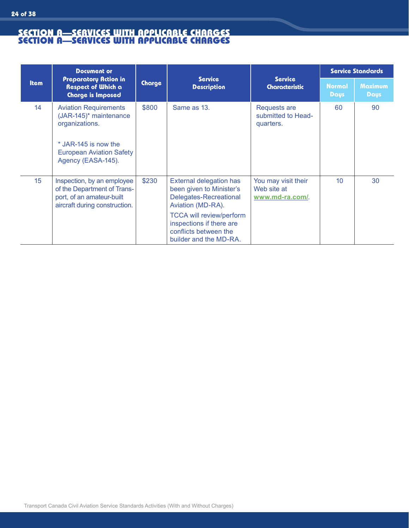|             | <b>Document or</b>                                                                                                                                        |        |                                                                                                                |                                                        |                              | <b>Service Standards</b>      |
|-------------|-----------------------------------------------------------------------------------------------------------------------------------------------------------|--------|----------------------------------------------------------------------------------------------------------------|--------------------------------------------------------|------------------------------|-------------------------------|
| <b>Item</b> | <b>Preparatory Action in</b><br><b>Respect of Which a</b><br><b>Charge is Imposed</b>                                                                     | Charge | <b>Service</b><br><b>Description</b>                                                                           | <b>Service</b><br><b>Characteristic</b>                | <b>Normal</b><br><b>Days</b> | <b>Maximum</b><br><b>Days</b> |
| 14          | <b>Aviation Requirements</b><br>(JAR-145)* maintenance<br>organizations.<br>* JAR-145 is now the<br><b>European Aviation Safety</b><br>Agency (EASA-145). | \$800  | Same as 13.                                                                                                    | <b>Requests are</b><br>submitted to Head-<br>quarters. | 60                           | 90                            |
| 15          | Inspection, by an employee<br>of the Department of Trans-<br>port, of an amateur-built<br>aircraft during construction.                                   | \$230  | External delegation has<br>been given to Minister's<br>Delegates-Recreational<br>Aviation (MD-RA).             | You may visit their<br>Web site at<br>www.md-ra.com/.  | 10 <sup>°</sup>              | 30                            |
|             |                                                                                                                                                           |        | <b>TCCA will review/perform</b><br>inspections if there are<br>conflicts between the<br>builder and the MD-RA. |                                                        |                              |                               |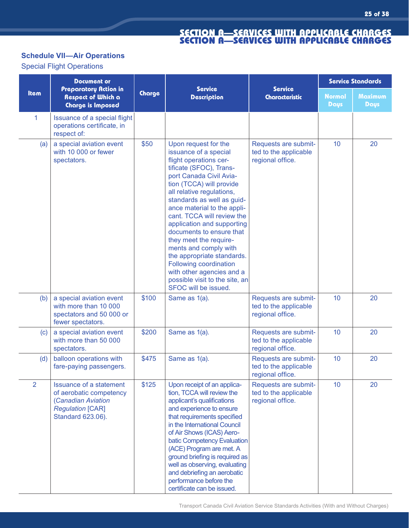# **Schedule VII—Air Operations**

Special Flight Operations

|                | <b>Document or</b>                                                                                                              |        |                                                                                                                                                                                                                                                                                                                                                                                                                                                                                                                                               |                                                                   |                              | <b>Service Standards</b> |
|----------------|---------------------------------------------------------------------------------------------------------------------------------|--------|-----------------------------------------------------------------------------------------------------------------------------------------------------------------------------------------------------------------------------------------------------------------------------------------------------------------------------------------------------------------------------------------------------------------------------------------------------------------------------------------------------------------------------------------------|-------------------------------------------------------------------|------------------------------|--------------------------|
| Item           | Preparatory Action in<br><b>Respect of Which a</b><br><b>Charge is Imposed</b>                                                  | Charge | <b>Service</b><br><b>Description</b>                                                                                                                                                                                                                                                                                                                                                                                                                                                                                                          | <b>Service</b><br><b>Characteristic</b>                           | <b>Normal</b><br><b>Days</b> | <b>Maximum</b><br>Days   |
| $\mathbf{1}$   | Issuance of a special flight<br>operations certificate, in<br>respect of:                                                       |        |                                                                                                                                                                                                                                                                                                                                                                                                                                                                                                                                               |                                                                   |                              |                          |
| (a)            | a special aviation event<br>with 10 000 or fewer<br>spectators.                                                                 | \$50   | Upon request for the<br>issuance of a special<br>flight operations cer-<br>tificate (SFOC), Trans-<br>port Canada Civil Avia-<br>tion (TCCA) will provide<br>all relative regulations,<br>standards as well as guid-<br>ance material to the appli-<br>cant. TCCA will review the<br>application and supporting<br>documents to ensure that<br>they meet the require-<br>ments and comply with<br>the appropriate standards.<br>Following coordination<br>with other agencies and a<br>possible visit to the site, an<br>SFOC will be issued. | Requests are submit-<br>ted to the applicable<br>regional office. | 10                           | 20                       |
| (b)            | a special aviation event<br>with more than 10 000<br>spectators and 50 000 or<br>fewer spectators.                              | \$100  | Same as 1(a).                                                                                                                                                                                                                                                                                                                                                                                                                                                                                                                                 | Requests are submit-<br>ted to the applicable<br>regional office. | 10                           | 20                       |
| (c)            | a special aviation event<br>with more than 50 000<br>spectators.                                                                | \$200  | Same as 1(a).                                                                                                                                                                                                                                                                                                                                                                                                                                                                                                                                 | Requests are submit-<br>ted to the applicable<br>regional office. | 10                           | 20                       |
| (d)            | balloon operations with<br>fare-paying passengers.                                                                              | \$475  | Same as 1(a).                                                                                                                                                                                                                                                                                                                                                                                                                                                                                                                                 | Requests are submit-<br>ted to the applicable<br>regional office. | 10                           | 20                       |
| $\overline{2}$ | <b>Issuance of a statement</b><br>of aerobatic competency<br>(Canadian Aviation<br><b>Regulation [CAR]</b><br>Standard 623.06). | \$125  | Upon receipt of an applica-<br>tion, TCCA will review the<br>applicant's qualifications<br>and experience to ensure<br>that requirements specified<br>in the International Council<br>of Air Shows (ICAS) Aero-<br>batic Competency Evaluation<br>(ACE) Program are met. A<br>ground briefing is required as<br>well as observing, evaluating<br>and debriefing an aerobatic<br>performance before the<br>certificate can be issued.                                                                                                          | Requests are submit-<br>ted to the applicable<br>regional office. | 10                           | 20                       |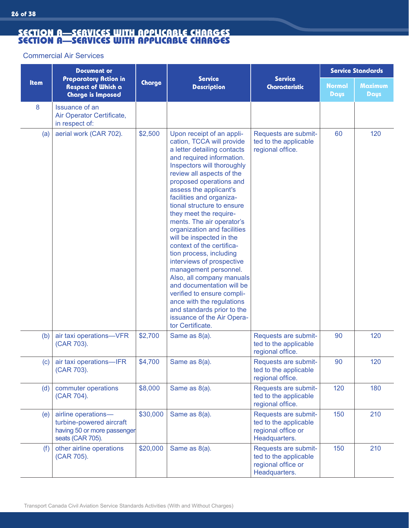#### Commercial Air Services

|             | <b>Document or</b>                                                                                 |          |                                                                                                                                                                                                                                                                                                                                                                                                                                                                                                                                                                                                                                                                                                                                   |                                                                                      |                       | <b>Service Standards</b> |
|-------------|----------------------------------------------------------------------------------------------------|----------|-----------------------------------------------------------------------------------------------------------------------------------------------------------------------------------------------------------------------------------------------------------------------------------------------------------------------------------------------------------------------------------------------------------------------------------------------------------------------------------------------------------------------------------------------------------------------------------------------------------------------------------------------------------------------------------------------------------------------------------|--------------------------------------------------------------------------------------|-----------------------|--------------------------|
| <b>Item</b> | <b>Preparatory Action in</b><br><b>Respect of Which a</b><br><b>Charge is Imposed</b>              | Charge   | <b>Service</b><br><b>Description</b>                                                                                                                                                                                                                                                                                                                                                                                                                                                                                                                                                                                                                                                                                              | <b>Service</b><br><b>Characteristic</b>                                              | <b>Normal</b><br>Days | <b>Maximum</b><br>Days   |
| 8           | <b>Issuance of an</b><br>Air Operator Certificate,<br>in respect of:                               |          |                                                                                                                                                                                                                                                                                                                                                                                                                                                                                                                                                                                                                                                                                                                                   |                                                                                      |                       |                          |
| (a)         | aerial work (CAR 702).                                                                             | \$2,500  | Upon receipt of an appli-<br>cation, TCCA will provide<br>a letter detailing contacts<br>and required information.<br>Inspectors will thoroughly<br>review all aspects of the<br>proposed operations and<br>assess the applicant's<br>facilities and organiza-<br>tional structure to ensure<br>they meet the require-<br>ments. The air operator's<br>organization and facilities<br>will be inspected in the<br>context of the certifica-<br>tion process, including<br>interviews of prospective<br>management personnel.<br>Also, all company manuals<br>and documentation will be<br>verified to ensure compli-<br>ance with the regulations<br>and standards prior to the<br>issuance of the Air Opera-<br>tor Certificate. | Requests are submit-<br>ted to the applicable<br>regional office.                    | 60                    | 120                      |
| (b)         | air taxi operations-VFR<br>(CAR 703).                                                              | \$2,700  | Same as 8(a).                                                                                                                                                                                                                                                                                                                                                                                                                                                                                                                                                                                                                                                                                                                     | Requests are submit-<br>ted to the applicable<br>regional office.                    | 90                    | 120                      |
| (c)         | air taxi operations-IFR<br>(CAR 703).                                                              | \$4,700  | Same as 8(a).                                                                                                                                                                                                                                                                                                                                                                                                                                                                                                                                                                                                                                                                                                                     | Requests are submit-<br>ted to the applicable<br>regional office.                    | 90                    | 120                      |
| (d)         | commuter operations<br>(CAR 704).                                                                  | \$8,000  | Same as 8(a).                                                                                                                                                                                                                                                                                                                                                                                                                                                                                                                                                                                                                                                                                                                     | Requests are submit-<br>ted to the applicable<br>regional office.                    | 120                   | 180                      |
| (e)         | airline operations-<br>turbine-powered aircraft<br>having 50 or more passenger<br>seats (CAR 705). | \$30,000 | Same as 8(a).                                                                                                                                                                                                                                                                                                                                                                                                                                                                                                                                                                                                                                                                                                                     | Requests are submit-<br>ted to the applicable<br>regional office or<br>Headquarters. | 150                   | 210                      |
| (f)         | other airline operations<br>(CAR 705).                                                             | \$20,000 | Same as 8(a).                                                                                                                                                                                                                                                                                                                                                                                                                                                                                                                                                                                                                                                                                                                     | Requests are submit-<br>ted to the applicable<br>regional office or<br>Headquarters. | 150                   | 210                      |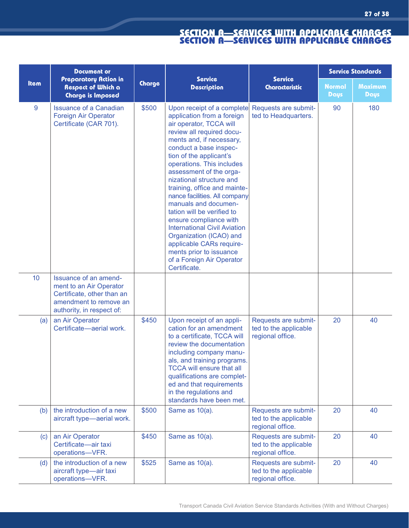|      | <b>Document or</b>                                                                                                                    |        |                                                                                                                                                                                                                                                                                                                                                                                                                                                                                                                                                                                                              |                                                                   |                              | <b>Service Standards</b> |
|------|---------------------------------------------------------------------------------------------------------------------------------------|--------|--------------------------------------------------------------------------------------------------------------------------------------------------------------------------------------------------------------------------------------------------------------------------------------------------------------------------------------------------------------------------------------------------------------------------------------------------------------------------------------------------------------------------------------------------------------------------------------------------------------|-------------------------------------------------------------------|------------------------------|--------------------------|
| Item | Preparatory Action in<br>Respect of Which a<br><b>Charge is Imposed</b>                                                               | Charge | <b>Service</b><br><b>Description</b>                                                                                                                                                                                                                                                                                                                                                                                                                                                                                                                                                                         | <b>Service</b><br><b>Characteristic</b>                           | <b>Normal</b><br><b>Days</b> | <b>Maximum</b><br>Days   |
| 9    | <b>Issuance of a Canadian</b><br><b>Foreign Air Operator</b><br>Certificate (CAR 701).                                                | \$500  | Upon receipt of a complete<br>application from a foreign<br>air operator, TCCA will<br>review all required docu-<br>ments and, if necessary,<br>conduct a base inspec-<br>tion of the applicant's<br>operations. This includes<br>assessment of the orga-<br>nizational structure and<br>training, office and mainte-<br>nance facilities. All company<br>manuals and documen-<br>tation will be verified to<br>ensure compliance with<br><b>International Civil Aviation</b><br>Organization (ICAO) and<br>applicable CARs require-<br>ments prior to issuance<br>of a Foreign Air Operator<br>Certificate. | Requests are submit-<br>ted to Headquarters.                      | 90                           | 180                      |
| 10   | Issuance of an amend-<br>ment to an Air Operator<br>Certificate, other than an<br>amendment to remove an<br>authority, in respect of: |        |                                                                                                                                                                                                                                                                                                                                                                                                                                                                                                                                                                                                              |                                                                   |                              |                          |
| (a)  | an Air Operator<br>Certificate-aerial work.                                                                                           | \$450  | Upon receipt of an appli-<br>cation for an amendment<br>to a certificate, TCCA will<br>review the documentation<br>including company manu-<br>als, and training programs.<br><b>TCCA will ensure that all</b><br>qualifications are complet-<br>ed and that requirements<br>in the regulations and<br>standards have been met.                                                                                                                                                                                                                                                                               | Requests are submit-<br>ted to the applicable<br>regional office. | 20                           | 40                       |
| (b)  | the introduction of a new<br>aircraft type-aerial work.                                                                               | \$500  | Same as 10(a).                                                                                                                                                                                                                                                                                                                                                                                                                                                                                                                                                                                               | Requests are submit-<br>ted to the applicable<br>regional office. | 20                           | 40                       |
| (c)  | an Air Operator<br>Certificate-air taxi<br>operations-VFR.                                                                            | \$450  | Same as 10(a).                                                                                                                                                                                                                                                                                                                                                                                                                                                                                                                                                                                               | Requests are submit-<br>ted to the applicable<br>regional office. | 20                           | 40                       |
| (d)  | the introduction of a new<br>aircraft type-air taxi<br>operations-VFR.                                                                | \$525  | Same as 10(a).                                                                                                                                                                                                                                                                                                                                                                                                                                                                                                                                                                                               | Requests are submit-<br>ted to the applicable<br>regional office. | 20                           | 40                       |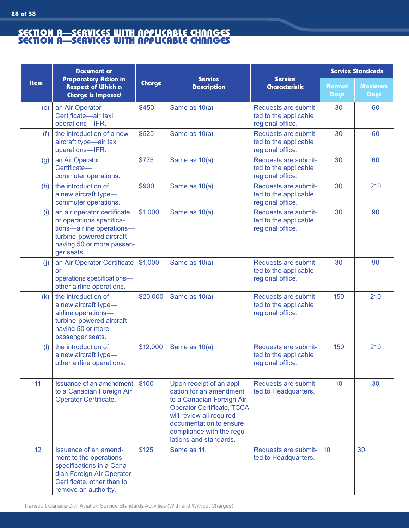**28 of 38**

|             | <b>Document or</b>                                                                                                                                              |          |                                                                                                                                                                                                                                      |                                                                   | <b>Service Standards</b>     |                        |
|-------------|-----------------------------------------------------------------------------------------------------------------------------------------------------------------|----------|--------------------------------------------------------------------------------------------------------------------------------------------------------------------------------------------------------------------------------------|-------------------------------------------------------------------|------------------------------|------------------------|
| <b>Item</b> | <b>Preparatory Action in</b><br><b>Respect of Which a</b><br><b>Charge is Imposed</b>                                                                           | Charge   | <b>Service</b><br><b>Description</b>                                                                                                                                                                                                 | <b>Service</b><br><b>Characteristic</b>                           | <b>Normal</b><br><b>Days</b> | <b>Maximum</b><br>Days |
| (e)         | an Air Operator<br>Certificate-air taxi<br>operations-IFR.                                                                                                      | \$450    | Same as 10(a).                                                                                                                                                                                                                       | Requests are submit-<br>ted to the applicable<br>regional office. | 30                           | 60                     |
| (f)         | the introduction of a new<br>aircraft type-air taxi<br>operations-IFR.                                                                                          | \$525    | Same as 10(a).                                                                                                                                                                                                                       | Requests are submit-<br>ted to the applicable<br>regional office. | 30                           | 60                     |
| (g)         | an Air Operator<br>Certificate-<br>commuter operations.                                                                                                         | \$775    | Same as 10(a).                                                                                                                                                                                                                       | Requests are submit-<br>ted to the applicable<br>regional office. | 30                           | 60                     |
| (h)         | the introduction of<br>a new aircraft type-<br>commuter operations.                                                                                             | \$900    | Same as 10(a).                                                                                                                                                                                                                       | Requests are submit-<br>ted to the applicable<br>regional office. | 30                           | 210                    |
| (i)         | an air operator certificate<br>or operations specifica-<br>tions-airline operations-<br>turbine-powered aircraft<br>having 50 or more passen-<br>ger seats      | \$1,000  | Same as 10(a).                                                                                                                                                                                                                       | Requests are submit-<br>ted to the applicable<br>regional office. | 30                           | 90                     |
| (i)         | an Air Operator Certificate<br><b>or</b><br>operations specifications-<br>other airline operations.                                                             | \$1,000  | Same as 10(a).                                                                                                                                                                                                                       | Requests are submit-<br>ted to the applicable<br>regional office. | 30                           | 90                     |
| (k)         | the introduction of<br>a new aircraft type-<br>airline operations-<br>turbine-powered aircraft<br>having 50 or more<br>passenger seats.                         | \$20,000 | Same as 10(a).                                                                                                                                                                                                                       | Requests are submit-<br>ted to the applicable<br>regional office. | 150                          | 210                    |
| (1)         | the introduction of<br>a new aircraft type-<br>other airline operations.                                                                                        | \$12,000 | Same as 10(a).                                                                                                                                                                                                                       | Requests are submit-<br>ted to the applicable<br>regional office. | 150                          | 210                    |
| 11          | <b>Issuance of an amendment</b><br>to a Canadian Foreign Air<br><b>Operator Certificate.</b>                                                                    | \$100    | Upon receipt of an appli-<br>cation for an amendment<br>to a Canadian Foreign Air<br><b>Operator Certificate, TCCA</b><br>will review all required<br>documentation to ensure<br>compliance with the regu-<br>lations and standards. | Requests are submit-<br>ted to Headquarters.                      | 10                           | 30                     |
| 12          | Issuance of an amend-<br>ment to the operations<br>specifications in a Cana-<br>dian Foreign Air Operator<br>Certificate, other than to<br>remove an authority. | \$125    | Same as 11.                                                                                                                                                                                                                          | Requests are submit-<br>ted to Headquarters.                      | 10 <sup>°</sup>              | 30                     |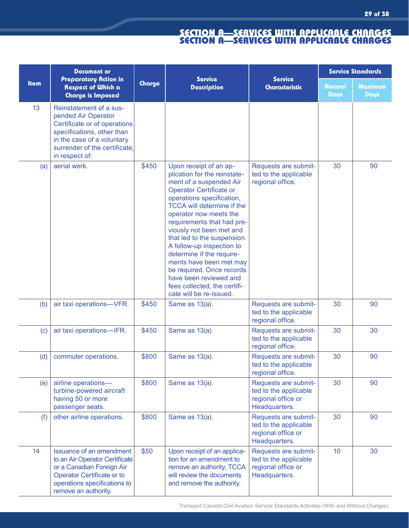|      | <b>Document or</b>                                                                                                                                                                            |        |                                                                                                                                                                                                                                                                                                                                                                                                                                                                                                                 |                                                                                      |                              | <b>Service Standards</b> |
|------|-----------------------------------------------------------------------------------------------------------------------------------------------------------------------------------------------|--------|-----------------------------------------------------------------------------------------------------------------------------------------------------------------------------------------------------------------------------------------------------------------------------------------------------------------------------------------------------------------------------------------------------------------------------------------------------------------------------------------------------------------|--------------------------------------------------------------------------------------|------------------------------|--------------------------|
| Item | Preparatory Action in<br><b>Respect of Which a</b><br><b>Charge is Imposed</b>                                                                                                                | Charge | <b>Service</b><br><b>Description</b>                                                                                                                                                                                                                                                                                                                                                                                                                                                                            | <b>Service</b><br><b>Characteristic</b>                                              | <b>Normal</b><br><b>Days</b> | <b>Maximum</b><br>Days   |
| 13   | Reinstatement of a sus-<br>pended Air Operator<br>Certificate or of operations<br>specifications, other than<br>in the case of a voluntary<br>surrender of the certificate,<br>in respect of: |        |                                                                                                                                                                                                                                                                                                                                                                                                                                                                                                                 |                                                                                      |                              |                          |
| (a)  | aerial work.                                                                                                                                                                                  | \$450  | Upon receipt of an ap-<br>plication for the reinstate-<br>ment of a suspended Air<br><b>Operator Certificate or</b><br>operations specification,<br><b>TCCA will determine if the</b><br>operator now meets the<br>requirements that had pre-<br>viously not been met and<br>that led to the suspension.<br>A follow-up inspection to<br>determine if the require-<br>ments have been met may<br>be required. Once records<br>have been reviewed and<br>fees collected, the certifi-<br>cate will be re-issued. | Requests are submit-<br>ted to the applicable<br>regional office.                    | 30                           | 90                       |
| (b)  | air taxi operations-VFR.                                                                                                                                                                      | \$450  | Same as 13(a).                                                                                                                                                                                                                                                                                                                                                                                                                                                                                                  | Requests are submit-<br>ted to the applicable<br>regional office.                    | 30                           | 90                       |
| (c)  | air taxi operations-IFR.                                                                                                                                                                      | \$450  | Same as 13(a).                                                                                                                                                                                                                                                                                                                                                                                                                                                                                                  | Requests are submit-<br>ted to the applicable<br>regional office.                    | 30                           | 30                       |
| (d)  | commuter operations.                                                                                                                                                                          | \$800  | Same as 13(a).                                                                                                                                                                                                                                                                                                                                                                                                                                                                                                  | Requests are submit-<br>ted to the applicable<br>regional office.                    | 30                           | 90                       |
| (e)  | airline operations-<br>turbine-powered aircraft<br>having 50 or more<br>passenger seats.                                                                                                      | \$800  | Same as 13(a).                                                                                                                                                                                                                                                                                                                                                                                                                                                                                                  | Requests are submit-<br>ted to the applicable<br>regional office or<br>Headquarters. | 30                           | 90                       |
| (f)  | other airline operations.                                                                                                                                                                     | \$800  | Same as 13(a).                                                                                                                                                                                                                                                                                                                                                                                                                                                                                                  | Requests are submit-<br>ted to the applicable<br>regional office or<br>Headquarters. | 30                           | 90                       |
| 14   | <b>Issuance of an amendment</b><br>to an Air Operator Certificate<br>or a Canadian Foreign Air<br>Operator Certificate or to<br>operations specifications to<br>remove an authority.          | \$50   | Upon receipt of an applica-<br>tion for an amendment to<br>remove an authority, TCCA<br>will review the documents<br>and remove the authority.                                                                                                                                                                                                                                                                                                                                                                  | Requests are submit-<br>ted to the applicable<br>regional office or<br>Headquarters. | 10                           | 30                       |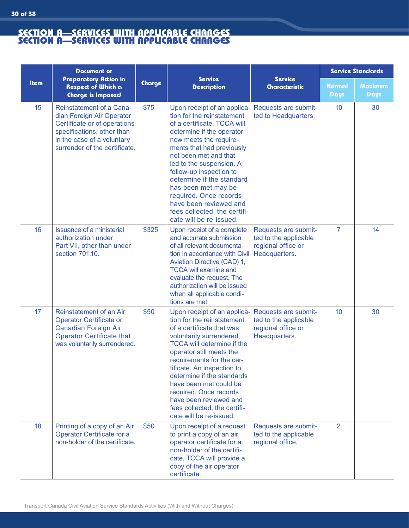|      | <b>Document or</b>                                                                                                                                                                        |        |                                                                                                                                                                                                                                                                                                                                                                                                                                 |                                                                                      |                              | <b>Service Standards</b> |
|------|-------------------------------------------------------------------------------------------------------------------------------------------------------------------------------------------|--------|---------------------------------------------------------------------------------------------------------------------------------------------------------------------------------------------------------------------------------------------------------------------------------------------------------------------------------------------------------------------------------------------------------------------------------|--------------------------------------------------------------------------------------|------------------------------|--------------------------|
| Item | Preparatory Action in<br><b>Respect of Which a</b><br><b>Charge is Imposed</b>                                                                                                            | Charge | <b>Service</b><br><b>Description</b>                                                                                                                                                                                                                                                                                                                                                                                            | <b>Service</b><br><b>Characteristic</b>                                              | <b>Normal</b><br><b>Days</b> | <b>Maximum</b><br>Days   |
| 15   | <b>Reinstatement of a Cana-</b><br>dian Foreign Air Operator<br>Certificate or of operations<br>specifications, other than<br>in the case of a voluntary<br>surrender of the certificate. | \$75   | Upon receipt of an applica-<br>tion for the reinstatement<br>of a certificate, TCCA will<br>determine if the operator<br>now meets the require-<br>ments that had previously<br>not been met and that<br>led to the suspension. A<br>follow-up inspection to<br>determine if the standard<br>has been met may be<br>required. Once records<br>have been reviewed and<br>fees collected, the certifi-<br>cate will be re-issued. | Requests are submit-<br>ted to Headquarters.                                         | 10                           | 30                       |
| 16   | <b>Issuance of a ministerial</b><br>authorization under<br>Part VII, other than under<br>section 701.10.                                                                                  | \$325  | Upon receipt of a complete<br>and accurate submission<br>of all relevant documenta-<br>tion in accordance with Civil<br>Aviation Directive (CAD) 1,<br><b>TCCA will examine and</b><br>evaluate the request. The<br>authorization will be issued<br>when all applicable condi-<br>tions are met.                                                                                                                                | Requests are submit-<br>ted to the applicable<br>regional office or<br>Headquarters. | $\overline{7}$               | 14                       |
| 17   | Reinstatement of an Air<br><b>Operator Certificate or</b><br><b>Canadian Foreign Air</b><br><b>Operator Certificate that</b><br>was voluntarily surrendered.                              | \$50   | Upon receipt of an applica-<br>tion for the reinstatement<br>of a certificate that was<br>voluntarily surrendered,<br><b>TCCA will determine if the</b><br>operator still meets the<br>requirements for the cer-<br>tificate. An inspection to<br>determine if the standards<br>have been met could be<br>required. Once records<br>have been reviewed and<br>fees collected, the certifi-<br>cate will be re-issued.           | Requests are submit-<br>ted to the applicable<br>regional office or<br>Headquarters. | 10                           | 30                       |
| 18   | Printing of a copy of an Air<br>Operator Certificate for a<br>non-holder of the certificate.                                                                                              | \$50   | Upon receipt of a request<br>to print a copy of an air<br>operator certificate for a<br>non-holder of the certifi-<br>cate, TCCA will provide a<br>copy of the air operator<br>certificate.                                                                                                                                                                                                                                     | Requests are submit-<br>ted to the applicable<br>regional office.                    | $\overline{2}$               |                          |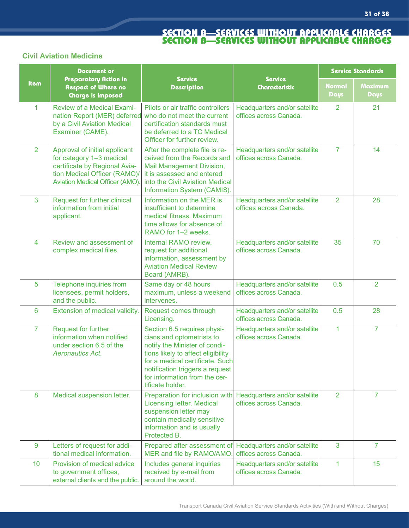# **Civil Aviation Medicine**

|                 | <b>Document or</b>                                                                                                                                            |                                                                                                                                                                                                                                                            |                                                         | <b>Service Standards</b>     |                 |
|-----------------|---------------------------------------------------------------------------------------------------------------------------------------------------------------|------------------------------------------------------------------------------------------------------------------------------------------------------------------------------------------------------------------------------------------------------------|---------------------------------------------------------|------------------------------|-----------------|
| Item            | Preparatory Action in<br><b>Respect of Where no</b><br><b>Charge is Imposed</b>                                                                               | <b>Service</b><br><b>Description</b>                                                                                                                                                                                                                       | <b>Service</b><br>Characteristic                        | <b>Normal</b><br><b>Days</b> | Maximum<br>Days |
| $\mathbf{1}$    | Review of a Medical Exami-<br>nation Report (MER) deferred<br>by a Civil Aviation Medical<br>Examiner (CAME).                                                 | Pilots or air traffic controllers<br>who do not meet the current<br>certification standards must<br>be deferred to a TC Medical<br>Officer for further review.                                                                                             | Headquarters and/or satellite<br>offices across Canada. | 2                            | 21              |
| $\overline{2}$  | Approval of initial applicant<br>for category 1-3 medical<br>certificate by Regional Avia-<br>tion Medical Officer (RAMO)/<br>Aviation Medical Officer (AMO). | After the complete file is re-<br>ceived from the Records and<br>Mail Management Division,<br>it is assessed and entered<br>into the Civil Aviation Medical<br>Information System (CAMIS).                                                                 | Headquarters and/or satellite<br>offices across Canada. | $\overline{7}$               | 14              |
| 3               | Request for further clinical<br>information from initial<br>applicant.                                                                                        | Information on the MER is<br>insufficient to determine<br>medical fitness. Maximum<br>time allows for absence of<br>RAMO for 1-2 weeks.                                                                                                                    | Headquarters and/or satellite<br>offices across Canada. | $\overline{2}$               | 28              |
| $\overline{4}$  | Review and assessment of<br>complex medical files.                                                                                                            | Internal RAMO review,<br>request for additional<br>information, assessment by<br><b>Aviation Medical Review</b><br>Board (AMRB).                                                                                                                           | Headquarters and/or satellite<br>offices across Canada. | 35                           | 70              |
| 5               | Telephone inquiries from<br>licensees, permit holders,<br>and the public.                                                                                     | Same day or 48 hours<br>maximum, unless a weekend<br>intervenes.                                                                                                                                                                                           | Headquarters and/or satellite<br>offices across Canada. | 0.5                          | 2               |
| 6               | Extension of medical validity.                                                                                                                                | Request comes through<br>Licensing.                                                                                                                                                                                                                        | Headquarters and/or satellite<br>offices across Canada. | 0.5                          | 28              |
| $\overline{7}$  | Request for further<br>information when notified<br>under section 6.5 of the<br><b>Aeronautics Act.</b>                                                       | Section 6.5 requires physi-<br>cians and optometrists to<br>notify the Minister of condi-<br>tions likely to affect eligibility<br>for a medical certificate. Such<br>notification triggers a request<br>for information from the cer-<br>tificate holder. | Headquarters and/or satellite<br>offices across Canada. | 1                            | 7               |
| 8               | Medical suspension letter.                                                                                                                                    | Preparation for inclusion with<br><b>Licensing letter. Medical</b><br>suspension letter may<br>contain medically sensitive<br>information and is usually<br>Protected B.                                                                                   | Headquarters and/or satellite<br>offices across Canada. | $\overline{2}$               | 7               |
| 9               | Letters of request for addi-<br>tional medical information.                                                                                                   | Prepared after assessment of<br>MER and file by RAMO/AMO                                                                                                                                                                                                   | Headquarters and/or satellite<br>offices across Canada. | 3                            | $\overline{7}$  |
| 10 <sup>°</sup> | Provision of medical advice<br>to government offices,<br>external clients and the public.                                                                     | Includes general inquiries<br>received by e-mail from<br>around the world.                                                                                                                                                                                 | Headquarters and/or satellite<br>offices across Canada. | 1.                           | 15              |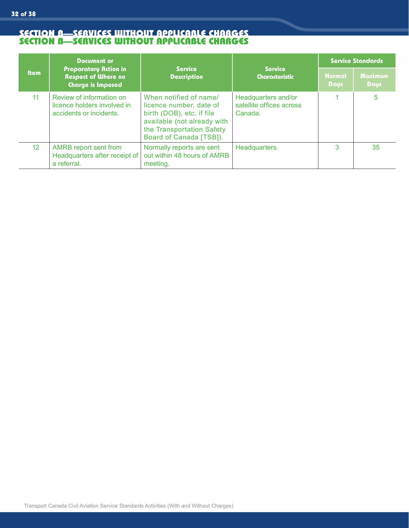|                 | <b>Document or</b>                                                                     | <b>Service</b><br><b>Description</b>                                                                                                                                  |                                                            | <b>Service Standards</b>                               |    |
|-----------------|----------------------------------------------------------------------------------------|-----------------------------------------------------------------------------------------------------------------------------------------------------------------------|------------------------------------------------------------|--------------------------------------------------------|----|
| <b>Item</b>     | <b>Preparatory Action in</b><br><b>Respect of Where no</b><br><b>Charge is Imposed</b> |                                                                                                                                                                       | <b>Service</b><br><b>Characteristic</b>                    | Maximum<br><b>Normal</b><br><b>Days</b><br><b>Days</b> |    |
| 11              | Review of information on<br>licence holders involved in<br>accidents or incidents.     | When notified of name/<br>licence number, date of<br>birth (DOB), etc. if file<br>available (not already with<br>the Transportation Safety<br>Board of Canada [TSB]). | Headquarters and/or<br>satellite offices across<br>Canada. |                                                        | 5  |
| 12 <sup>2</sup> | AMRB report sent from<br>Headquarters after receipt of<br>a referral.                  | Normally reports are sent<br>out within 48 hours of AMRB<br>meeting.                                                                                                  | Headquarters.                                              | 3                                                      | 35 |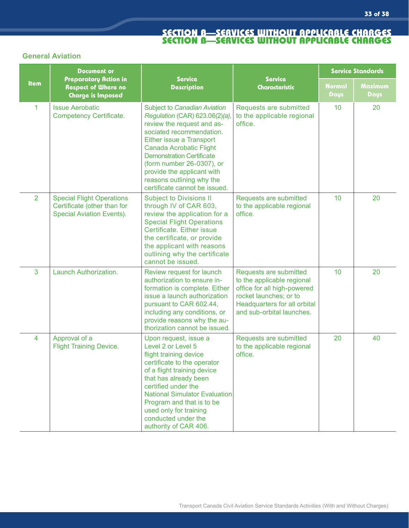### **General Aviation**

|                | <b>Document or</b>                                                                                  |                                                                                                                                                                                                                                                                                                                                                           |                                                                                                                                                                                   | <b>Service Standards</b> |                 |  |
|----------------|-----------------------------------------------------------------------------------------------------|-----------------------------------------------------------------------------------------------------------------------------------------------------------------------------------------------------------------------------------------------------------------------------------------------------------------------------------------------------------|-----------------------------------------------------------------------------------------------------------------------------------------------------------------------------------|--------------------------|-----------------|--|
| Item           | Preparatory Action in<br><b>Respect of Where no</b><br><b>Charge is Imposed</b>                     | <b>Service</b><br><b>Description</b>                                                                                                                                                                                                                                                                                                                      | <b>Service</b><br>Characteristic                                                                                                                                                  | <b>Normal</b><br>Days    | Maximum<br>Days |  |
| 1              | <b>Issue Aerobatic</b><br><b>Competency Certificate.</b>                                            | <b>Subject to Canadian Aviation</b><br>Regulation (CAR) 623.06(2)(a)<br>review the request and as-<br>sociated recommendation.<br>Either issue a Transport<br><b>Canada Acrobatic Flight</b><br><b>Demonstration Certificate</b><br>(form number 26-0307), or<br>provide the applicant with<br>reasons outlining why the<br>certificate cannot be issued. | Requests are submitted<br>to the applicable regional<br>office.                                                                                                                   | 10                       | 20              |  |
| $\overline{2}$ | <b>Special Flight Operations</b><br>Certificate (other than for<br><b>Special Aviation Events).</b> | <b>Subject to Divisions II</b><br>through IV of CAR 603,<br>review the application for a<br><b>Special Flight Operations</b><br>Certificate. Either issue<br>the certificate, or provide<br>the applicant with reasons<br>outlining why the certificate<br>cannot be issued.                                                                              | Requests are submitted<br>to the applicable regional<br>office.                                                                                                                   | 10 <sup>1</sup>          | 20              |  |
| 3              | Launch Authorization.                                                                               | Review request for launch<br>authorization to ensure in-<br>formation is complete. Either<br>issue a launch authorization<br>pursuant to CAR 602.44,<br>including any conditions, or<br>provide reasons why the au-<br>thorization cannot be issued.                                                                                                      | Requests are submitted<br>to the applicable regional<br>office for all high-powered<br>rocket launches; or to<br><b>Headquarters for all orbital</b><br>and sub-orbital launches. | 10                       | 20              |  |
| $\overline{4}$ | Approval of a<br><b>Flight Training Device.</b>                                                     | Upon request, issue a<br>Level 2 or Level 5<br>flight training device<br>certificate to the operator<br>of a flight training device<br>that has already been<br>certified under the<br><b>National Simulator Evaluation</b><br>Program and that is to be<br>used only for training<br>conducted under the<br>authority of CAR 406.                        | Requests are submitted<br>to the applicable regional<br>office.                                                                                                                   | 20                       | 40              |  |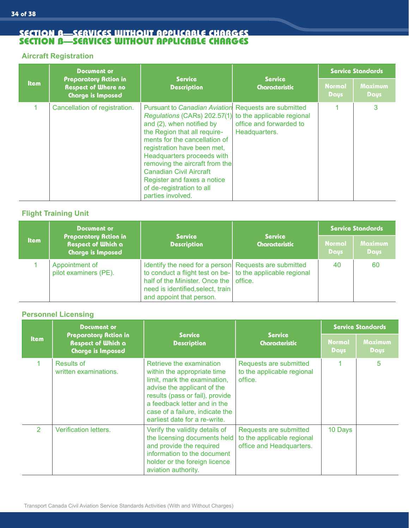#### **Aircraft Registration**

|             | Document or                                                                            | <b>Service</b><br><b>Description</b>                                                                                                                                                                                                                                                                                                                                                                                            |                                          | <b>Service Standards</b>     |                               |  |
|-------------|----------------------------------------------------------------------------------------|---------------------------------------------------------------------------------------------------------------------------------------------------------------------------------------------------------------------------------------------------------------------------------------------------------------------------------------------------------------------------------------------------------------------------------|------------------------------------------|------------------------------|-------------------------------|--|
| <b>Item</b> | <b>Preparatory Action in</b><br><b>Respect of Where no</b><br><b>Charge is Imposed</b> |                                                                                                                                                                                                                                                                                                                                                                                                                                 | <b>Service</b><br><b>Characteristic</b>  | <b>Normal</b><br><b>Days</b> | <b>Maximum</b><br><b>Days</b> |  |
|             | Cancellation of registration.                                                          | Pursuant to Canadian Aviation Requests are submitted<br>Regulations (CARs) 202.57(1) to the applicable regional<br>and (2), when notified by<br>the Region that all require-<br>ments for the cancellation of<br>registration have been met,<br>Headquarters proceeds with<br>removing the aircraft from the<br><b>Canadian Civil Aircraft</b><br>Register and faxes a notice<br>of de-registration to all<br>parties involved. | office and forwarded to<br>Headquarters. |                              | 3                             |  |

# **Flight Training Unit**

|             | Document or<br><b>Service</b>                                                                               |                                                                                                                                                                                                                        |                              | <b>Service Standards</b>      |    |  |
|-------------|-------------------------------------------------------------------------------------------------------------|------------------------------------------------------------------------------------------------------------------------------------------------------------------------------------------------------------------------|------------------------------|-------------------------------|----|--|
| <b>Item</b> | <b>Preparatory Action in</b><br><b>Respect of Which a</b><br><b>Description</b><br><b>Charge is Imposed</b> | <b>Service</b><br><b>Characteristic</b>                                                                                                                                                                                | <b>Normal</b><br><b>Days</b> | <b>Maximum</b><br><b>Days</b> |    |  |
|             | Appointment of<br>pilot examiners (PE).                                                                     | Identify the need for a person Requests are submitted<br>to conduct a flight test on be- to the applicable regional<br>half of the Minister. Once the<br>need is identified, select, train<br>and appoint that person. | office.                      | 40                            | 60 |  |

# **Personnel Licensing**

| <b>Item</b>    | Document or<br><b>Preparatory Action in</b><br><b>Respect of Which a</b><br>Charge is Imposed | <b>Service</b><br><b>Description</b>                                                                                                                                                                                                                          | <b>Service</b><br><b>Characteristic</b>                                          | <b>Service Standards</b>     |                               |
|----------------|-----------------------------------------------------------------------------------------------|---------------------------------------------------------------------------------------------------------------------------------------------------------------------------------------------------------------------------------------------------------------|----------------------------------------------------------------------------------|------------------------------|-------------------------------|
|                |                                                                                               |                                                                                                                                                                                                                                                               |                                                                                  | <b>Normal</b><br><b>Days</b> | <b>Maximum</b><br><b>Days</b> |
|                | Results of<br>written examinations.                                                           | Retrieve the examination<br>within the appropriate time<br>limit, mark the examination,<br>advise the applicant of the<br>results (pass or fail), provide<br>a feedback letter and in the<br>case of a failure, indicate the<br>earliest date for a re-write. | Requests are submitted<br>to the applicable regional<br>office.                  |                              | 5                             |
| $\overline{2}$ | <b>Verification letters.</b>                                                                  | Verify the validity details of<br>the licensing documents held<br>and provide the required<br>information to the document<br>holder or the foreign licence<br>aviation authority.                                                                             | Requests are submitted<br>to the applicable regional<br>office and Headquarters. | 10 Days                      |                               |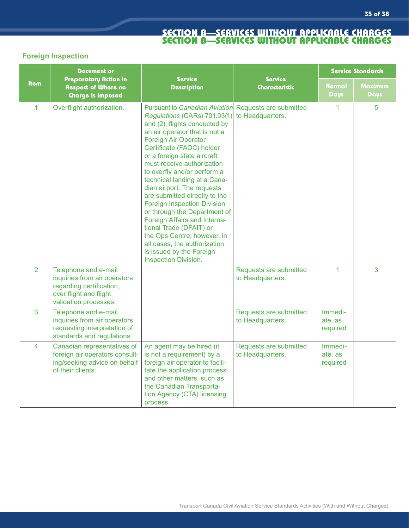# **Foreign Inspection**

| <b>Item</b>    | <b>Document or</b><br>Preparatory Action in<br><b>Respect of Where no</b><br>Charge is Imposed                                      | <b>Service</b><br><b>Description</b>                                                                                                                                                                                                                                                                                                                                                                                                                                                                                                                                                                                                                     | <b>Service</b><br>Characteristic           | <b>Service Standards</b>       |                 |
|----------------|-------------------------------------------------------------------------------------------------------------------------------------|----------------------------------------------------------------------------------------------------------------------------------------------------------------------------------------------------------------------------------------------------------------------------------------------------------------------------------------------------------------------------------------------------------------------------------------------------------------------------------------------------------------------------------------------------------------------------------------------------------------------------------------------------------|--------------------------------------------|--------------------------------|-----------------|
|                |                                                                                                                                     |                                                                                                                                                                                                                                                                                                                                                                                                                                                                                                                                                                                                                                                          |                                            | Normal<br><b>Days</b>          | Maximum<br>Daus |
| 1              | Overflight authorization.                                                                                                           | <b>Pursuant to Canadian Aviation</b><br>Regulations (CARs) 701.03(1)<br>and (2), flights conducted by<br>an air operator that is not a<br><b>Foreign Air Operator</b><br>Certificate (FAOC) holder<br>or a foreign state aircraft<br>must receive authorization<br>to overfly and/or perform a<br>technical landing at a Cana-<br>dian airport. The requests<br>are submitted directly to the<br><b>Foreign Inspection Division</b><br>or through the Department of<br>Foreign Affairs and Interna-<br>tional Trade (DFAIT) or<br>the Ops Centre; however, in<br>all cases, the authorization<br>is issued by the Foreign<br><b>Inspection Division.</b> | Requests are submitted<br>to Headquarters. | 1                              | 5               |
| $\overline{2}$ | Telephone and e-mail<br>inquiries from air operators<br>regarding certification,<br>over flight and flight<br>validation processes. |                                                                                                                                                                                                                                                                                                                                                                                                                                                                                                                                                                                                                                                          | Requests are submitted<br>to Headquarters. | $\overline{1}$                 | 3               |
| 3              | Telephone and e-mail<br>inquiries from air operators<br>requesting interpretation of<br>standards and regulations.                  |                                                                                                                                                                                                                                                                                                                                                                                                                                                                                                                                                                                                                                                          | Requests are submitted<br>to Headquarters. | Immedi-<br>ate, as<br>required |                 |
| $\overline{4}$ | Canadian representatives of<br>foreign air operators consult-<br>ing/seeking advice on behalf<br>of their clients.                  | An agent may be hired (it<br>is not a requirement) by a<br>foreign air operator to facili-<br>tate the application process<br>and other matters, such as<br>the Canadian Transporta-<br>tion Agency (CTA) licensing<br>process.                                                                                                                                                                                                                                                                                                                                                                                                                          | Requests are submitted<br>to Headquarters. | Immedi-<br>ate, as<br>required |                 |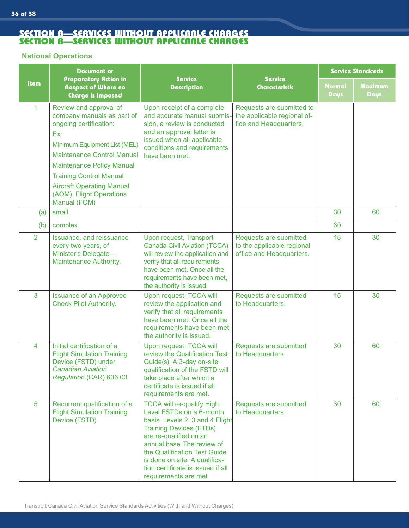#### **National Operations**

| <b>Item</b>    | <b>Document or</b><br>Preparatory Action in<br><b>Respect of Where no</b><br><b>Charge is Imposed</b>                                                                                                                                                                                                            | <b>Service</b><br><b>Description</b>                                                                                                                                                                                                                                                                                     | <b>Service</b><br><b>Characteristic</b>                                            | <b>Service Standards</b>     |                 |
|----------------|------------------------------------------------------------------------------------------------------------------------------------------------------------------------------------------------------------------------------------------------------------------------------------------------------------------|--------------------------------------------------------------------------------------------------------------------------------------------------------------------------------------------------------------------------------------------------------------------------------------------------------------------------|------------------------------------------------------------------------------------|------------------------------|-----------------|
|                |                                                                                                                                                                                                                                                                                                                  |                                                                                                                                                                                                                                                                                                                          |                                                                                    | <b>Normal</b><br><b>Days</b> | Maximum<br>Days |
| 1              | Review and approval of<br>company manuals as part of<br>ongoing certification:<br>Ex:<br>Minimum Equipment List (MEL)<br><b>Maintenance Control Manual</b><br><b>Maintenance Policy Manual</b><br><b>Training Control Manual</b><br><b>Aircraft Operating Manual</b><br>(AOM), Flight Operations<br>Manual (FOM) | Upon receipt of a complete<br>and accurate manual submis-<br>sion, a review is conducted<br>and an approval letter is<br>issued when all applicable<br>conditions and requirements<br>have been met.                                                                                                                     | Requests are submitted to<br>the applicable regional of-<br>fice and Headquarters. |                              |                 |
| (a)            | small.                                                                                                                                                                                                                                                                                                           |                                                                                                                                                                                                                                                                                                                          |                                                                                    | 30                           | 60              |
| (b)            | complex.                                                                                                                                                                                                                                                                                                         |                                                                                                                                                                                                                                                                                                                          |                                                                                    | 60                           |                 |
| $\overline{2}$ | Issuance, and reissuance<br>every two years, of<br>Minister's Delegate-<br>Maintenance Authority.                                                                                                                                                                                                                | Upon request, Transport<br><b>Canada Civil Aviation (TCCA)</b><br>will review the application and<br>verify that all requirements<br>have been met. Once all the<br>requirements have been met,<br>the authority is issued.                                                                                              | Requests are submitted<br>to the applicable regional<br>office and Headquarters.   | 15                           | 30              |
| 3              | <b>Issuance of an Approved</b><br><b>Check Pilot Authority.</b>                                                                                                                                                                                                                                                  | Upon request, TCCA will<br>review the application and<br>verify that all requirements<br>have been met. Once all the<br>requirements have been met,<br>the authority is issued.                                                                                                                                          | Requests are submitted<br>to Headquarters.                                         | 15                           | 30              |
| 4              | Initial certification of a<br><b>Flight Simulation Training</b><br>Device (FSTD) under<br><b>Canadian Aviation</b><br>Regulation (CAR) 606.03.                                                                                                                                                                   | Upon request, TCCA will<br>review the Qualification Test<br>Guide(s). A 3-day on-site<br>qualification of the FSTD will<br>take place after which a<br>certificate is issued if all<br>requirements are met.                                                                                                             | Requests are submitted<br>to Headquarters.                                         | 30                           | 60              |
| 5              | Recurrent qualification of a<br><b>Flight Simulation Training</b><br>Device (FSTD).                                                                                                                                                                                                                              | <b>TCCA will re-qualify High</b><br>Level FSTDs on a 6-month<br>basis. Levels 2, 3 and 4 Flight<br><b>Training Devices (FTDs)</b><br>are re-qualified on an<br>annual base. The review of<br>the Qualification Test Guide<br>is done on site. A qualifica-<br>tion certificate is issued if all<br>requirements are met. | Requests are submitted<br>to Headquarters.                                         | 30                           | 60              |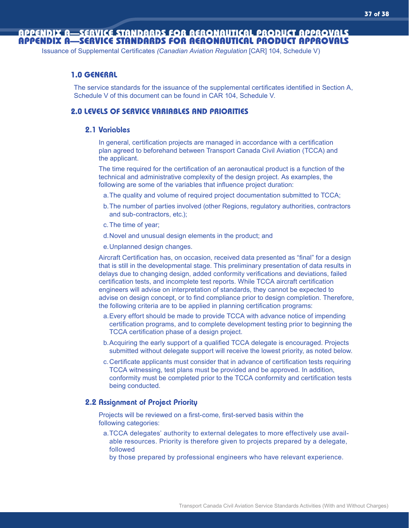# APPENDIX A—SERVICE STANDARDS FOR AERONAUTICAL PRODUCT APPROVALS APPENDIX A—SERVICE STANDARDS FOR AERONAUTICAL PRODUCT APPROVALS

Issuance of Supplemental Certificates *(Canadian Aviation Regulation* [CAR] 104, Schedule V)

#### **1.0 GENERAL**

The service standards for the issuance of the supplemental certificates identified in Section A, Schedule V of this document can be found in CAR 104, Schedule V.

#### **2.0 LEVELS OF SERVICE VARIABLES AND PRIORITIES**

#### 2.1 Variables

In general, certification projects are managed in accordance with a certification plan agreed to beforehand between Transport Canada Civil Aviation (TCCA) and the applicant.

The time required for the certification of an aeronautical product is a function of the technical and administrative complexity of the design project. As examples, the following are some of the variables that influence project duration:

- a. The quality and volume of required project documentation submitted to TCCA;
- b. The number of parties involved (other Regions, regulatory authorities, contractors and sub-contractors, etc.);
- c. The time of year;
- d. Novel and unusual design elements in the product; and
- e. Unplanned design changes.

Aircraft Certification has, on occasion, received data presented as "final" for a design that is still in the developmental stage. This preliminary presentation of data results in delays due to changing design, added conformity verifications and deviations, failed certification tests, and incomplete test reports. While TCCA aircraft certification engineers will advise on interpretation of standards, they cannot be expected to advise on design concept, or to find compliance prior to design completion. Therefore, the following criteria are to be applied in planning certification programs:

- a. Every effort should be made to provide TCCA with advance notice of impending certification programs, and to complete development testing prior to beginning the TCCA certification phase of a design project.
- b. Acquiring the early support of a qualified TCCA delegate is encouraged. Projects submitted without delegate support will receive the lowest priority, as noted below.
- c. Certificate applicants must consider that in advance of certification tests requiring TCCA witnessing, test plans must be provided and be approved. In addition, conformity must be completed prior to the TCCA conformity and certification tests being conducted.

#### 2.2 Assignment of Project Priority

Projects will be reviewed on a first-come, first-served basis within the following categories:

- a.TCCA delegates' authority to external delegates to more effectively use available resources. Priority is therefore given to projects prepared by a delegate, followed
	- by those prepared by professional engineers who have relevant experience.